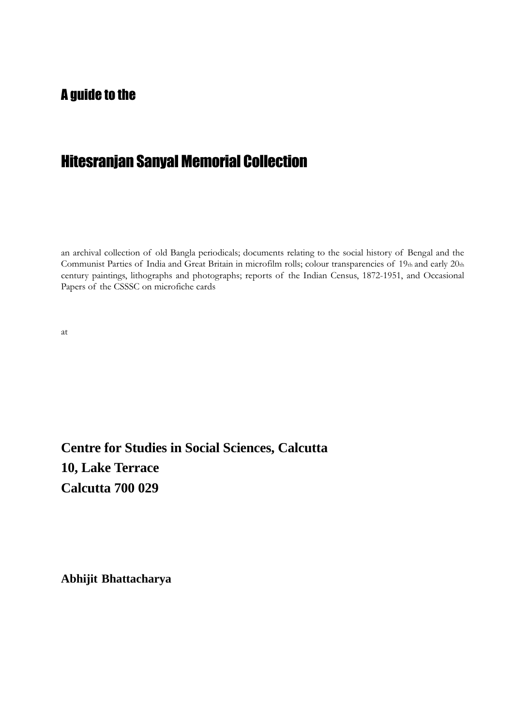### A guide to the

# Hitesranjan Sanyal Memorial Collection

an archival collection of old Bangla periodicals; documents relating to the social history of Bengal and the Communist Parties of India and Great Britain in microfilm rolls; colour transparencies of 19th and early 20th century paintings, lithographs and photographs; reports of the Indian Census, 1872-1951, and Occasional Papers of the CSSSC on microfiche cards

at

**Centre for Studies in Social Sciences, Calcutta 10, Lake Terrace Calcutta 700 029**

**Abhijit Bhattacharya**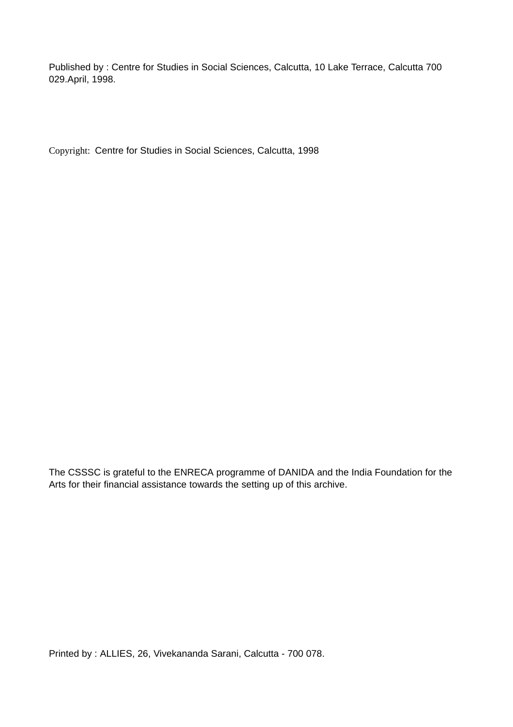Published by : Centre for Studies in Social Sciences, Calcutta, 10 Lake Terrace, Calcutta 700 029.April, 1998.

Copyright: Centre for Studies in Social Sciences, Calcutta, 1998

The CSSSC is grateful to the ENRECA programme of DANIDA and the India Foundation for the Arts for their financial assistance towards the setting up of this archive.

Printed by : ALLIES, 26, Vivekananda Sarani, Calcutta - 700 078.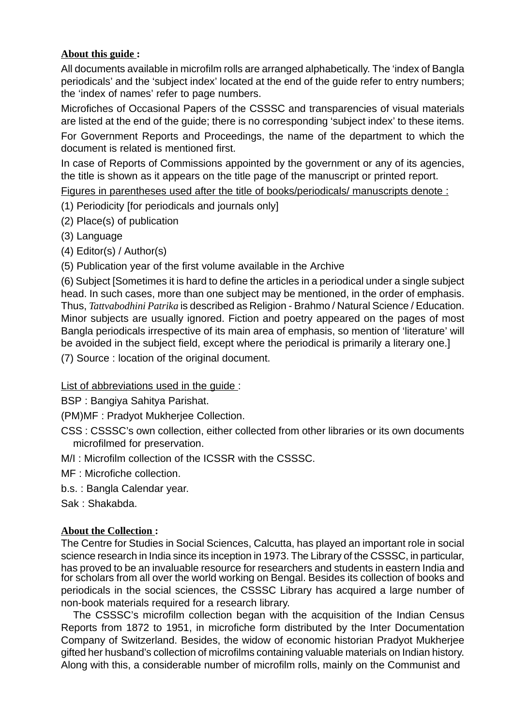### **About this guide :**

All documents available in microfilm rolls are arranged alphabetically. The 'index of Bangla periodicals' and the 'subject index' located at the end of the guide refer to entry numbers; the 'index of names' refer to page numbers.

Microfiches of Occasional Papers of the CSSSC and transparencies of visual materials are listed at the end of the guide; there is no corresponding 'subject index' to these items.

For Government Reports and Proceedings, the name of the department to which the document is related is mentioned first.

In case of Reports of Commissions appointed by the government or any of its agencies, the title is shown as it appears on the title page of the manuscript or printed report.

Figures in parentheses used after the title of books/periodicals/ manuscripts denote :

(1) Periodicity [for periodicals and journals only]

- (2) Place(s) of publication
- (3) Language
- (4) Editor(s) / Author(s)

(5) Publication year of the first volume available in the Archive

(6) Subject [Sometimes it is hard to define the articles in a periodical under a single subject head. In such cases, more than one subject may be mentioned, in the order of emphasis. Thus, *Tattvabodhini Patrika* is described as Religion - Brahmo / Natural Science / Education. Minor subjects are usually ignored. Fiction and poetry appeared on the pages of most Bangla periodicals irrespective of its main area of emphasis, so mention of 'literature' will be avoided in the subject field, except where the periodical is primarily a literary one.]

(7) Source : location of the original document.

List of abbreviations used in the guide :

BSP : Bangiya Sahitya Parishat.

(PM)MF : Pradyot Mukherjee Collection.

CSS : CSSSC's own collection, either collected from other libraries or its own documents microfilmed for preservation.

M/I : Microfilm collection of the ICSSR with the CSSSC.

MF : Microfiche collection.

- b.s. : Bangla Calendar year.
- Sak : Shakabda.

### **About the Collection :**

The Centre for Studies in Social Sciences, Calcutta, has played an important role in social science research in India since its inception in 1973. The Library of the CSSSC, in particular, has proved to be an invaluable resource for researchers and students in eastern India and for scholars from all over the world working on Bengal. Besides its collection of books and periodicals in the social sciences, the CSSSC Library has acquired a large number of non-book materials required for a research library.

The CSSSC's microfilm collection began with the acquisition of the Indian Census Reports from 1872 to 1951, in microfiche form distributed by the Inter Documentation Company of Switzerland. Besides, the widow of economic historian Pradyot Mukherjee gifted her husband's collection of microfilms containing valuable materials on Indian history. Along with this, a considerable number of microfilm rolls, mainly on the Communist and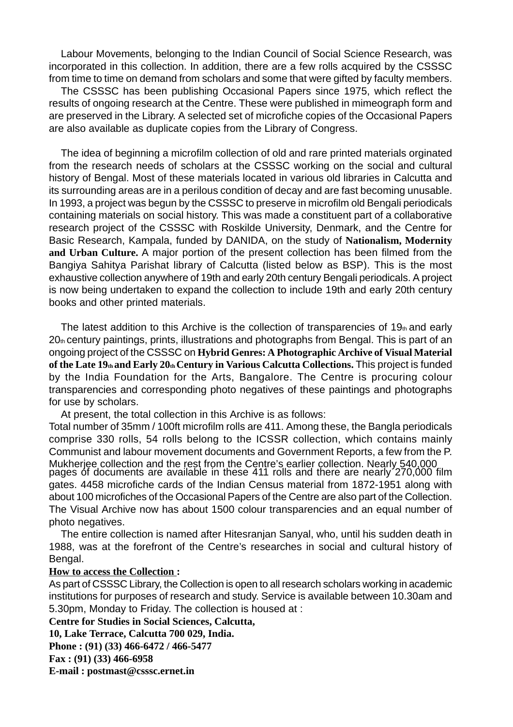Labour Movements, belonging to the Indian Council of Social Science Research, was incorporated in this collection. In addition, there are a few rolls acquired by the CSSSC from time to time on demand from scholars and some that were gifted by faculty members.

The CSSSC has been publishing Occasional Papers since 1975, which reflect the results of ongoing research at the Centre. These were published in mimeograph form and are preserved in the Library. A selected set of microfiche copies of the Occasional Papers are also available as duplicate copies from the Library of Congress.

The idea of beginning a microfilm collection of old and rare printed materials orginated from the research needs of scholars at the CSSSC working on the social and cultural history of Bengal. Most of these materials located in various old libraries in Calcutta and its surrounding areas are in a perilous condition of decay and are fast becoming unusable. In 1993, a project was begun by the CSSSC to preserve in microfilm old Bengali periodicals containing materials on social history. This was made a constituent part of a collaborative research project of the CSSSC with Roskilde University, Denmark, and the Centre for Basic Research, Kampala, funded by DANIDA, on the study of **Nationalism, Modernity and Urban Culture.** A major portion of the present collection has been filmed from the Bangiya Sahitya Parishat library of Calcutta (listed below as BSP). This is the most exhaustive collection anywhere of 19th and early 20th century Bengali periodicals. A project is now being undertaken to expand the collection to include 19th and early 20th century books and other printed materials.

The latest addition to this Archive is the collection of transparencies of  $19<sub>th</sub>$  and early 20th century paintings, prints, illustrations and photographs from Bengal. This is part of an ongoing project of the CSSSC on **Hybrid Genres: A Photographic Archive of Visual Material** of the Late 19th and Early 20th Century in Various Calcutta Collections. This project is funded by the India Foundation for the Arts, Bangalore. The Centre is procuring colour transparencies and corresponding photo negatives of these paintings and photographs for use by scholars.

At present, the total collection in this Archive is as follows:

Total number of 35mm / 100ft microfilm rolls are 411. Among these, the Bangla periodicals comprise 330 rolls, 54 rolls belong to the ICSSR collection, which contains mainly Communist and labour movement documents and Government Reports, a few from the P. Mukherjee collection and the rest from the Centre's earlier collection. Nearly 540,000 pages of documents are available in these 411 rolls and there are nearly 270,000 film gates. 4458 microfiche cards of the Indian Census material from 1872-1951 along with about 100 microfiches of the Occasional Papers of the Centre are also part of the Collection. The Visual Archive now has about 1500 colour transparencies and an equal number of photo negatives.

The entire collection is named after Hitesranjan Sanyal, who, until his sudden death in 1988, was at the forefront of the Centre's researches in social and cultural history of Bengal.

#### **How to access the Collection :**

As part of CSSSC Library, the Collection is open to all research scholars working in academic institutions for purposes of research and study. Service is available between 10.30am and 5.30pm, Monday to Friday. The collection is housed at :

**Centre for Studies in Social Sciences, Calcutta,**

**10, Lake Terrace, Calcutta 700 029, India.**

**Phone : (91) (33) 466-6472 / 466-5477 Fax : (91) (33) 466-6958**

**E-mail : postmast@csssc.ernet.in**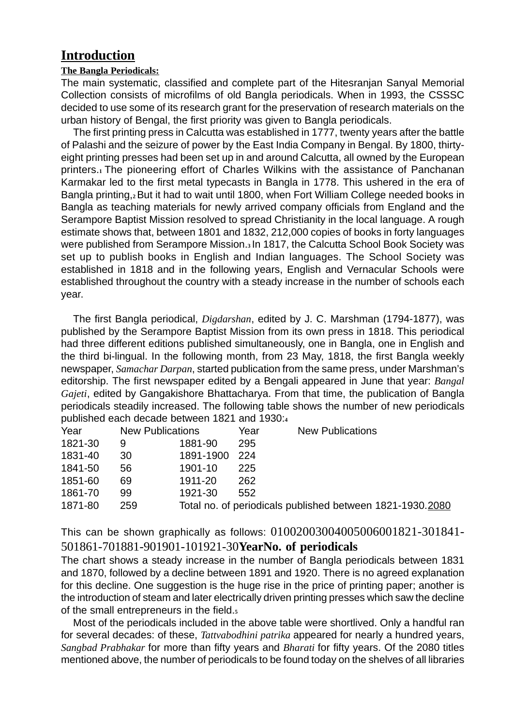## **Introduction**

#### **The Bangla Periodicals:**

The main systematic, classified and complete part of the Hitesranjan Sanyal Memorial Collection consists of microfilms of old Bangla periodicals. When in 1993, the CSSSC decided to use some of its research grant for the preservation of research materials on the urban history of Bengal, the first priority was given to Bangla periodicals.

The first printing press in Calcutta was established in 1777, twenty years after the battle of Palashi and the seizure of power by the East India Company in Bengal. By 1800, thirtyeight printing presses had been set up in and around Calcutta, all owned by the European printers.**1** The pioneering effort of Charles Wilkins with the assistance of Panchanan Karmakar led to the first metal typecasts in Bangla in 1778. This ushered in the era of Bangla printing,**2** But it had to wait until 1800, when Fort William College needed books in Bangla as teaching materials for newly arrived company officials from England and the Serampore Baptist Mission resolved to spread Christianity in the local language. A rough estimate shows that, between 1801 and 1832, 212,000 copies of books in forty languages were published from Serampore Mission.**3** In 1817, the Calcutta School Book Society was set up to publish books in English and Indian languages. The School Society was established in 1818 and in the following years, English and Vernacular Schools were established throughout the country with a steady increase in the number of schools each year.

The first Bangla periodical, *Digdarshan*, edited by J. C. Marshman (1794-1877), was published by the Serampore Baptist Mission from its own press in 1818. This periodical had three different editions published simultaneously, one in Bangla, one in English and the third bi-lingual. In the following month, from 23 May, 1818, the first Bangla weekly newspaper, *Samachar Darpan*, started publication from the same press, under Marshman's editorship. The first newspaper edited by a Bengali appeared in June that year: *Bangal Gajeti*, edited by Gangakishore Bhattacharya. From that time, the publication of Bangla periodicals steadily increased. The following table shows the number of new periodicals published each decade between 1821 and 1930:**<sup>4</sup>**

| Year    | <b>New Publications</b> |           | Year | <b>New Publications</b>                                   |
|---------|-------------------------|-----------|------|-----------------------------------------------------------|
| 1821-30 | 9                       | 1881-90   | 295  |                                                           |
| 1831-40 | 30                      | 1891-1900 | -224 |                                                           |
| 1841-50 | 56                      | 1901-10   | 225  |                                                           |
| 1851-60 | 69                      | 1911-20   | 262  |                                                           |
| 1861-70 | 99                      | 1921-30   | 552. |                                                           |
| 1871-80 | 259                     |           |      | Total no. of periodicals published between 1821-1930.2080 |

This can be shown graphically as follows: 01002003004005006001821-301841- 501861-701881-901901-101921-30**YearNo. of periodicals**

The chart shows a steady increase in the number of Bangla periodicals between 1831 and 1870, followed by a decline between 1891 and 1920. There is no agreed explanation for this decline. One suggestion is the huge rise in the price of printing paper; another is the introduction of steam and later electrically driven printing presses which saw the decline of the small entrepreneurs in the field.**<sup>5</sup>**

Most of the periodicals included in the above table were shortlived. Only a handful ran for several decades: of these, *Tattvabodhini patrika* appeared for nearly a hundred years, *Sangbad Prabhakar* for more than fifty years and *Bharati* for fifty years. Of the 2080 titles mentioned above, the number of periodicals to be found today on the shelves of all libraries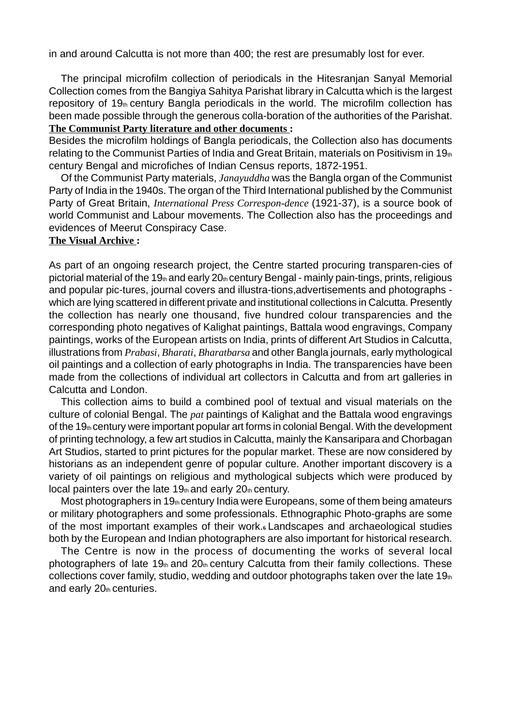in and around Calcutta is not more than 400; the rest are presumably lost for ever.

The principal microfilm collection of periodicals in the Hitesranjan Sanyal Memorial Collection comes from the Bangiya Sahitya Parishat library in Calcutta which is the largest repository of  $19<sub>th</sub>$  century Bangla periodicals in the world. The microfilm collection has been made possible through the generous colla-boration of the authorities of the Parishat. **The Communist Party literature and other documents :**

Besides the microfilm holdings of Bangla periodicals, the Collection also has documents relating to the Communist Parties of India and Great Britain, materials on Positivism in 19th century Bengal and microfiches of Indian Census reports, 1872-1951.

Of the Communist Party materials, *Janayuddha* was the Bangla organ of the Communist Party of India in the 1940s. The organ of the Third International published by the Communist Party of Great Britain, *International Press Correspon-dence* (1921-37), is a source book of world Communist and Labour movements. The Collection also has the proceedings and evidences of Meerut Conspiracy Case.

#### **The Visual Archive :**

As part of an ongoing research project, the Centre started procuring transparen-cies of pictorial material of the 19th and early  $20<sub>th</sub>$  century Bengal - mainly pain-tings, prints, religious and popular pic-tures, journal covers and illustra-tions,advertisements and photographs which are lying scattered in different private and institutional collections in Calcutta. Presently the collection has nearly one thousand, five hundred colour transparencies and the corresponding photo negatives of Kalighat paintings, Battala wood engravings, Company paintings, works of the European artists on India, prints of different Art Studios in Calcutta, illustrations from *Prabasi*, *Bharati*, *Bharatbarsa* and other Bangla journals, early mythological oil paintings and a collection of early photographs in India. The transparencies have been made from the collections of individual art collectors in Calcutta and from art galleries in Calcutta and London.

This collection aims to build a combined pool of textual and visual materials on the culture of colonial Bengal. The *pat* paintings of Kalighat and the Battala wood engravings of the 19th century were important popular art forms in colonial Bengal. With the development of printing technology, a few art studios in Calcutta, mainly the Kansaripara and Chorbagan Art Studios, started to print pictures for the popular market. These are now considered by historians as an independent genre of popular culture. Another important discovery is a variety of oil paintings on religious and mythological subjects which were produced by local painters over the late  $19<sub>th</sub>$  and early  $20<sub>th</sub>$  century.

Most photographers in 19 $<sub>th</sub>$  century India were Europeans, some of them being amateurs</sub> or military photographers and some professionals. Ethnographic Photo-graphs are some of the most important examples of their work.**6** Landscapes and archaeological studies both by the European and Indian photographers are also important for historical research.

The Centre is now in the process of documenting the works of several local photographers of late  $19<sub>th</sub>$  and  $20<sub>th</sub>$  century Calcutta from their family collections. These collections cover family, studio, wedding and outdoor photographs taken over the late  $19<sub>th</sub>$ and early  $20<sub>th</sub>$  centuries.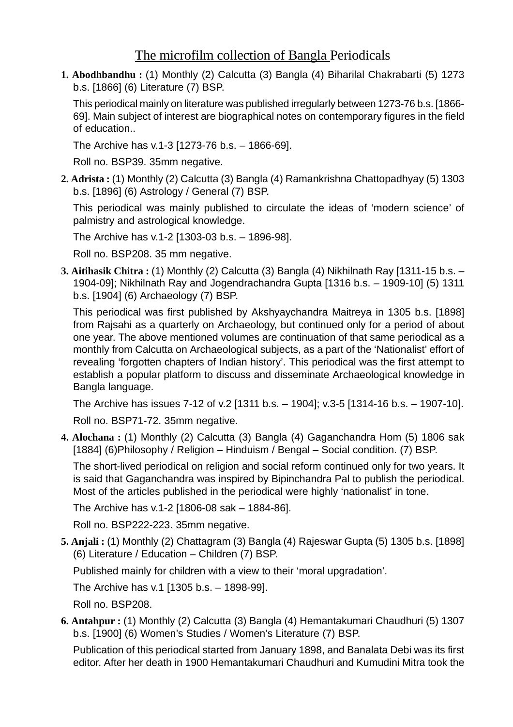# The microfilm collection of Bangla Periodicals

**1. Abodhbandhu :** (1) Monthly (2) Calcutta (3) Bangla (4) Biharilal Chakrabarti (5) 1273 b.s. [1866] (6) Literature (7) BSP.

This periodical mainly on literature was published irregularly between 1273-76 b.s. [1866- 69]. Main subject of interest are biographical notes on contemporary figures in the field of education..

The Archive has v.1-3 [1273-76 b.s. – 1866-69].

Roll no. BSP39. 35mm negative.

**2. Adrista :** (1) Monthly (2) Calcutta (3) Bangla (4) Ramankrishna Chattopadhyay (5) 1303 b.s. [1896] (6) Astrology / General (7) BSP.

This periodical was mainly published to circulate the ideas of 'modern science' of palmistry and astrological knowledge.

The Archive has v.1-2 [1303-03 b.s. – 1896-98].

Roll no. BSP208. 35 mm negative.

**3. Aitihasik Chitra :** (1) Monthly (2) Calcutta (3) Bangla (4) Nikhilnath Ray [1311-15 b.s. – 1904-09]; Nikhilnath Ray and Jogendrachandra Gupta [1316 b.s. – 1909-10] (5) 1311 b.s. [1904] (6) Archaeology (7) BSP.

This periodical was first published by Akshyaychandra Maitreya in 1305 b.s. [1898] from Rajsahi as a quarterly on Archaeology, but continued only for a period of about one year. The above mentioned volumes are continuation of that same periodical as a monthly from Calcutta on Archaeological subjects, as a part of the 'Nationalist' effort of revealing 'forgotten chapters of Indian history'. This periodical was the first attempt to establish a popular platform to discuss and disseminate Archaeological knowledge in Bangla language.

The Archive has issues 7-12 of v.2 [1311 b.s. – 1904]; v.3-5 [1314-16 b.s. – 1907-10].

Roll no. BSP71-72. 35mm negative.

**4. Alochana :** (1) Monthly (2) Calcutta (3) Bangla (4) Gaganchandra Hom (5) 1806 sak [1884] (6)Philosophy / Religion – Hinduism / Bengal – Social condition. (7) BSP.

The short-lived periodical on religion and social reform continued only for two years. It is said that Gaganchandra was inspired by Bipinchandra Pal to publish the periodical. Most of the articles published in the periodical were highly 'nationalist' in tone.

The Archive has v.1-2 [1806-08 sak – 1884-86].

Roll no. BSP222-223. 35mm negative.

**5. Anjali :** (1) Monthly (2) Chattagram (3) Bangla (4) Rajeswar Gupta (5) 1305 b.s. [1898] (6) Literature / Education – Children (7) BSP.

Published mainly for children with a view to their 'moral upgradation'.

The Archive has v.1 [1305 b.s. – 1898-99].

Roll no. BSP208.

**6. Antahpur :** (1) Monthly (2) Calcutta (3) Bangla (4) Hemantakumari Chaudhuri (5) 1307 b.s. [1900] (6) Women's Studies / Women's Literature (7) BSP.

Publication of this periodical started from January 1898, and Banalata Debi was its first editor. After her death in 1900 Hemantakumari Chaudhuri and Kumudini Mitra took the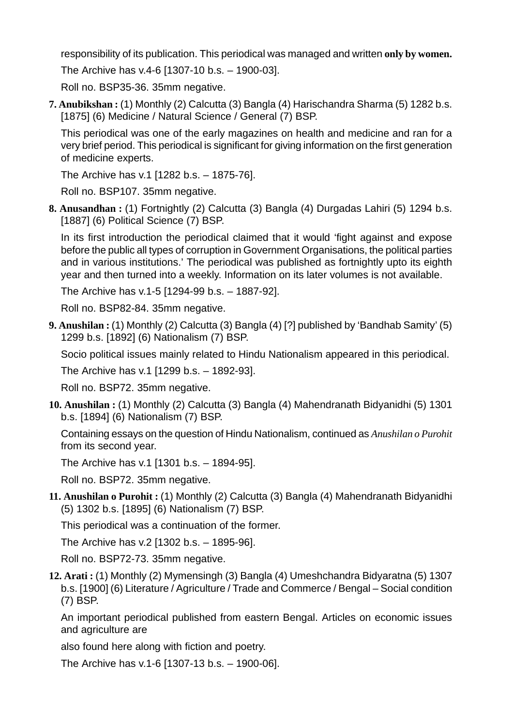responsibility of its publication. This periodical was managed and written **only by women.**

The Archive has v.4-6 [1307-10 b.s. – 1900-03].

Roll no. BSP35-36. 35mm negative.

**7. Anubikshan :** (1) Monthly (2) Calcutta (3) Bangla (4) Harischandra Sharma (5) 1282 b.s. [1875] (6) Medicine / Natural Science / General (7) BSP.

This periodical was one of the early magazines on health and medicine and ran for a very brief period. This periodical is significant for giving information on the first generation of medicine experts.

The Archive has v.1 [1282 b.s. – 1875-76].

Roll no. BSP107. 35mm negative.

**8. Anusandhan :** (1) Fortnightly (2) Calcutta (3) Bangla (4) Durgadas Lahiri (5) 1294 b.s. [1887] (6) Political Science (7) BSP.

In its first introduction the periodical claimed that it would 'fight against and expose before the public all types of corruption in Government Organisations, the political parties and in various institutions.' The periodical was published as fortnightly upto its eighth year and then turned into a weekly. Information on its later volumes is not available.

The Archive has v.1-5 [1294-99 b.s. – 1887-92].

Roll no. BSP82-84. 35mm negative.

**9. Anushilan :** (1) Monthly (2) Calcutta (3) Bangla (4) [?] published by 'Bandhab Samity' (5) 1299 b.s. [1892] (6) Nationalism (7) BSP.

Socio political issues mainly related to Hindu Nationalism appeared in this periodical.

The Archive has v.1 [1299 b.s. – 1892-93].

Roll no. BSP72. 35mm negative.

**10. Anushilan :** (1) Monthly (2) Calcutta (3) Bangla (4) Mahendranath Bidyanidhi (5) 1301 b.s. [1894] (6) Nationalism (7) BSP.

Containing essays on the question of Hindu Nationalism, continued as *Anushilan o Purohit* from its second year.

The Archive has v.1 [1301 b.s. – 1894-95].

Roll no. BSP72. 35mm negative.

**11. Anushilan o Purohit :** (1) Monthly (2) Calcutta (3) Bangla (4) Mahendranath Bidyanidhi (5) 1302 b.s. [1895] (6) Nationalism (7) BSP.

This periodical was a continuation of the former.

The Archive has v.2 [1302 b.s. – 1895-96].

Roll no. BSP72-73. 35mm negative.

**12. Arati :** (1) Monthly (2) Mymensingh (3) Bangla (4) Umeshchandra Bidyaratna (5) 1307 b.s. [1900] (6) Literature / Agriculture / Trade and Commerce / Bengal – Social condition (7) BSP.

An important periodical published from eastern Bengal. Articles on economic issues and agriculture are

also found here along with fiction and poetry.

The Archive has v.1-6 [1307-13 b.s. – 1900-06].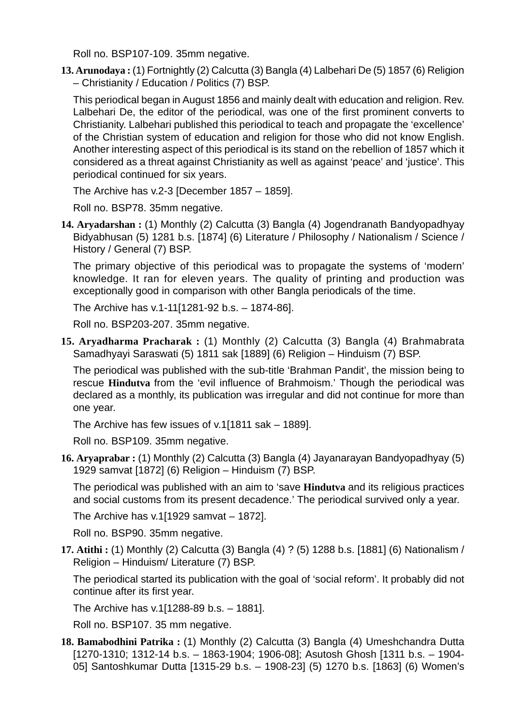Roll no. BSP107-109. 35mm negative.

**13. Arunodaya :** (1) Fortnightly (2) Calcutta (3) Bangla (4) Lalbehari De (5) 1857 (6) Religion – Christianity / Education / Politics (7) BSP.

This periodical began in August 1856 and mainly dealt with education and religion. Rev. Lalbehari De, the editor of the periodical, was one of the first prominent converts to Christianity. Lalbehari published this periodical to teach and propagate the 'excellence' of the Christian system of education and religion for those who did not know English. Another interesting aspect of this periodical is its stand on the rebellion of 1857 which it considered as a threat against Christianity as well as against 'peace' and 'justice'. This periodical continued for six years.

The Archive has v.2-3 [December 1857 – 1859].

Roll no. BSP78. 35mm negative.

**14. Aryadarshan :** (1) Monthly (2) Calcutta (3) Bangla (4) Jogendranath Bandyopadhyay Bidyabhusan (5) 1281 b.s. [1874] (6) Literature / Philosophy / Nationalism / Science / History / General (7) BSP.

The primary objective of this periodical was to propagate the systems of 'modern' knowledge. It ran for eleven years. The quality of printing and production was exceptionally good in comparison with other Bangla periodicals of the time.

The Archive has v.1-11[1281-92 b.s. – 1874-86].

Roll no. BSP203-207. 35mm negative.

**15. Aryadharma Pracharak :** (1) Monthly (2) Calcutta (3) Bangla (4) Brahmabrata Samadhyayi Saraswati (5) 1811 sak [1889] (6) Religion – Hinduism (7) BSP.

The periodical was published with the sub-title 'Brahman Pandit', the mission being to rescue **Hindutva** from the 'evil influence of Brahmoism.' Though the periodical was declared as a monthly, its publication was irregular and did not continue for more than one year.

The Archive has few issues of v.1[1811 sak – 1889].

Roll no. BSP109. 35mm negative.

**16. Aryaprabar :** (1) Monthly (2) Calcutta (3) Bangla (4) Jayanarayan Bandyopadhyay (5) 1929 samvat [1872] (6) Religion – Hinduism (7) BSP.

The periodical was published with an aim to 'save **Hindutva** and its religious practices and social customs from its present decadence.' The periodical survived only a year.

The Archive has v.1[1929 samvat – 1872].

Roll no. BSP90. 35mm negative.

**17. Atithi :** (1) Monthly (2) Calcutta (3) Bangla (4) ? (5) 1288 b.s. [1881] (6) Nationalism / Religion – Hinduism/ Literature (7) BSP.

The periodical started its publication with the goal of 'social reform'. It probably did not continue after its first year.

The Archive has v.1[1288-89 b.s. – 1881].

Roll no. BSP107. 35 mm negative.

**18. Bamabodhini Patrika :** (1) Monthly (2) Calcutta (3) Bangla (4) Umeshchandra Dutta [1270-1310; 1312-14 b.s. – 1863-1904; 1906-08]; Asutosh Ghosh [1311 b.s. – 1904- 05] Santoshkumar Dutta [1315-29 b.s. – 1908-23] (5) 1270 b.s. [1863] (6) Women's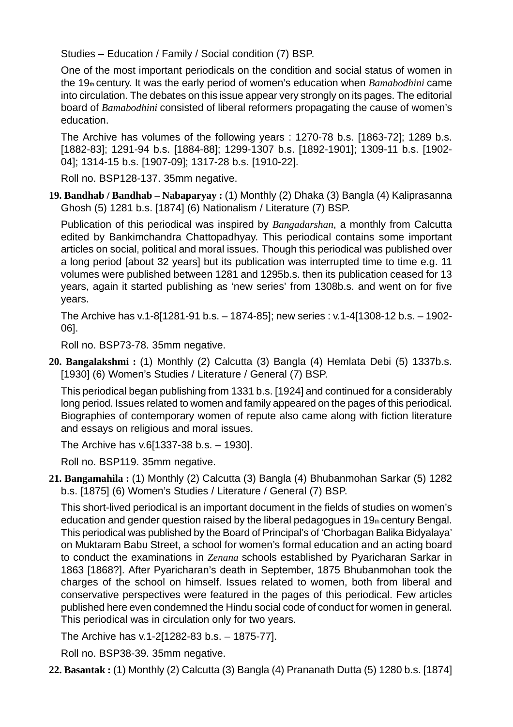Studies – Education / Family / Social condition (7) BSP.

One of the most important periodicals on the condition and social status of women in the 19th century. It was the early period of women's education when *Bamabodhini* came into circulation. The debates on this issue appear very strongly on its pages. The editorial board of *Bamabodhini* consisted of liberal reformers propagating the cause of women's education.

The Archive has volumes of the following years : 1270-78 b.s. [1863-72]; 1289 b.s. [1882-83]; 1291-94 b.s. [1884-88]; 1299-1307 b.s. [1892-1901]; 1309-11 b.s. [1902- 04]; 1314-15 b.s. [1907-09]; 1317-28 b.s. [1910-22].

Roll no. BSP128-137. 35mm negative.

**19. Bandhab / Bandhab – Nabaparyay :** (1) Monthly (2) Dhaka (3) Bangla (4) Kaliprasanna Ghosh (5) 1281 b.s. [1874] (6) Nationalism / Literature (7) BSP.

Publication of this periodical was inspired by *Bangadarshan*, a monthly from Calcutta edited by Bankimchandra Chattopadhyay. This periodical contains some important articles on social, political and moral issues. Though this periodical was published over a long period [about 32 years] but its publication was interrupted time to time e.g. 11 volumes were published between 1281 and 1295b.s. then its publication ceased for 13 years, again it started publishing as 'new series' from 1308b.s. and went on for five years.

The Archive has v.1-8[1281-91 b.s. – 1874-85]; new series : v.1-4[1308-12 b.s. – 1902- 06].

Roll no. BSP73-78. 35mm negative.

**20. Bangalakshmi :** (1) Monthly (2) Calcutta (3) Bangla (4) Hemlata Debi (5) 1337b.s. [1930] (6) Women's Studies / Literature / General (7) BSP.

This periodical began publishing from 1331 b.s. [1924] and continued for a considerably long period. Issues related to women and family appeared on the pages of this periodical. Biographies of contemporary women of repute also came along with fiction literature and essays on religious and moral issues.

The Archive has v.6[1337-38 b.s. – 1930].

Roll no. BSP119. 35mm negative.

**21. Bangamahila :** (1) Monthly (2) Calcutta (3) Bangla (4) Bhubanmohan Sarkar (5) 1282 b.s. [1875] (6) Women's Studies / Literature / General (7) BSP.

This short-lived periodical is an important document in the fields of studies on women's education and gender question raised by the liberal pedagogues in  $19<sub>th</sub>$  century Bengal. This periodical was published by the Board of Principal's of 'Chorbagan Balika Bidyalaya' on Muktaram Babu Street, a school for women's formal education and an acting board to conduct the examinations in *Zenana* schools established by Pyaricharan Sarkar in 1863 [1868?]. After Pyaricharan's death in September, 1875 Bhubanmohan took the charges of the school on himself. Issues related to women, both from liberal and conservative perspectives were featured in the pages of this periodical. Few articles published here even condemned the Hindu social code of conduct for women in general. This periodical was in circulation only for two years.

The Archive has v.1-2[1282-83 b.s. – 1875-77].

Roll no. BSP38-39. 35mm negative.

**22. Basantak :** (1) Monthly (2) Calcutta (3) Bangla (4) Prananath Dutta (5) 1280 b.s. [1874]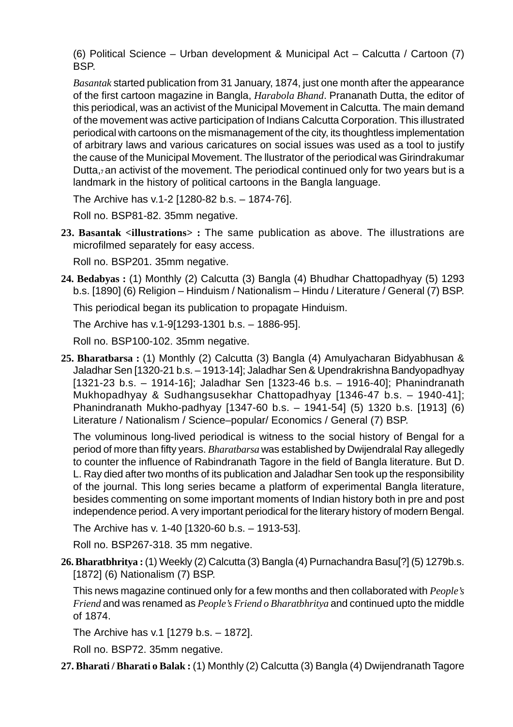(6) Political Science – Urban development & Municipal Act – Calcutta / Cartoon (7) BSP.

*Basantak* started publication from 31 January, 1874, just one month after the appearance of the first cartoon magazine in Bangla, *Harabola Bhand*. Prananath Dutta, the editor of this periodical, was an activist of the Municipal Movement in Calcutta. The main demand of the movement was active participation of Indians Calcutta Corporation. This illustrated periodical with cartoons on the mismanagement of the city, its thoughtless implementation of arbitrary laws and various caricatures on social issues was used as a tool to justify the cause of the Municipal Movement. The llustrator of the periodical was Girindrakumar Dutta,**7** an activist of the movement. The periodical continued only for two years but is a landmark in the history of political cartoons in the Bangla language.

The Archive has v.1-2 [1280-82 b.s. – 1874-76].

Roll no. BSP81-82. 35mm negative.

**23. Basantak <illustrations> :** The same publication as above. The illustrations are microfilmed separately for easy access.

Roll no. BSP201. 35mm negative.

**24. Bedabyas :** (1) Monthly (2) Calcutta (3) Bangla (4) Bhudhar Chattopadhyay (5) 1293 b.s. [1890] (6) Religion – Hinduism / Nationalism – Hindu / Literature / General (7) BSP.

This periodical began its publication to propagate Hinduism.

The Archive has v.1-9[1293-1301 b.s. – 1886-95].

Roll no. BSP100-102. 35mm negative.

**25. Bharatbarsa :** (1) Monthly (2) Calcutta (3) Bangla (4) Amulyacharan Bidyabhusan & Jaladhar Sen [1320-21 b.s. – 1913-14]; Jaladhar Sen & Upendrakrishna Bandyopadhyay [1321-23 b.s. – 1914-16]; Jaladhar Sen [1323-46 b.s. – 1916-40]; Phanindranath Mukhopadhyay & Sudhangsusekhar Chattopadhyay [1346-47 b.s. – 1940-41]; Phanindranath Mukho-padhyay [1347-60 b.s. – 1941-54] (5) 1320 b.s. [1913] (6) Literature / Nationalism / Science–popular/ Economics / General (7) BSP.

The voluminous long-lived periodical is witness to the social history of Bengal for a period of more than fifty years. *Bharatbarsa* was established by Dwijendralal Ray allegedly to counter the influence of Rabindranath Tagore in the field of Bangla literature. But D. L. Ray died after two months of its publication and Jaladhar Sen took up the responsibility of the journal. This long series became a platform of experimental Bangla literature, besides commenting on some important moments of Indian history both in pre and post independence period. A very important periodical for the literary history of modern Bengal.

The Archive has v. 1-40 [1320-60 b.s. – 1913-53].

Roll no. BSP267-318. 35 mm negative.

**26. Bharatbhritya :** (1) Weekly (2) Calcutta (3) Bangla (4) Purnachandra Basu[?] (5) 1279b.s. [1872] (6) Nationalism (7) BSP.

This news magazine continued only for a few months and then collaborated with *People's Friend* and was renamed as *People's Friend o Bharatbhritya* and continued upto the middle of 1874.

The Archive has v.1 [1279 b.s. – 1872].

Roll no. BSP72. 35mm negative.

**27. Bharati / Bharati o Balak :** (1) Monthly (2) Calcutta (3) Bangla (4) Dwijendranath Tagore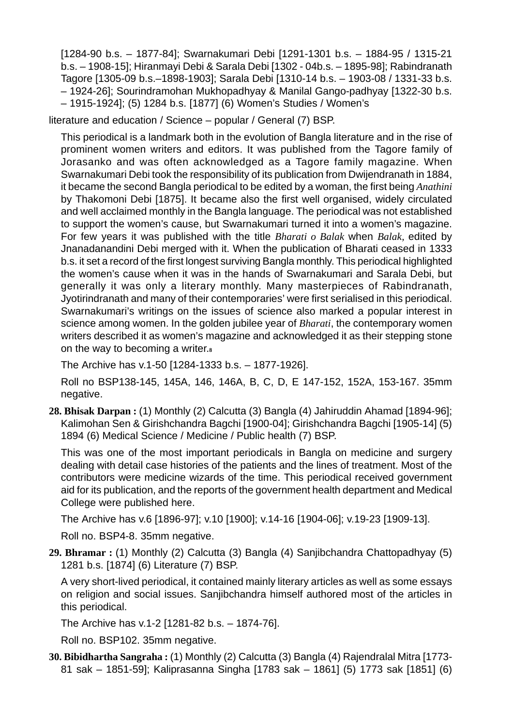[1284-90 b.s. – 1877-84]; Swarnakumari Debi [1291-1301 b.s. – 1884-95 / 1315-21 b.s. – 1908-15]; Hiranmayi Debi & Sarala Debi [1302 - 04b.s. – 1895-98]; Rabindranath Tagore [1305-09 b.s.–1898-1903]; Sarala Debi [1310-14 b.s. – 1903-08 / 1331-33 b.s. – 1924-26]; Sourindramohan Mukhopadhyay & Manilal Gango-padhyay [1322-30 b.s. – 1915-1924]; (5) 1284 b.s. [1877] (6) Women's Studies / Women's

literature and education / Science – popular / General (7) BSP.

This periodical is a landmark both in the evolution of Bangla literature and in the rise of prominent women writers and editors. It was published from the Tagore family of Jorasanko and was often acknowledged as a Tagore family magazine. When Swarnakumari Debi took the responsibility of its publication from Dwijendranath in 1884, it became the second Bangla periodical to be edited by a woman, the first being *Anathini* by Thakomoni Debi [1875]. It became also the first well organised, widely circulated and well acclaimed monthly in the Bangla language. The periodical was not established to support the women's cause, but Swarnakumari turned it into a women's magazine. For few years it was published with the title *Bharati o Balak* when *Balak,* edited by Jnanadanandini Debi merged with it. When the publication of Bharati ceased in 1333 b.s. it set a record of the first longest surviving Bangla monthly. This periodical highlighted the women's cause when it was in the hands of Swarnakumari and Sarala Debi, but generally it was only a literary monthly. Many masterpieces of Rabindranath, Jyotirindranath and many of their contemporaries' were first serialised in this periodical. Swarnakumari's writings on the issues of science also marked a popular interest in science among women. In the golden jubilee year of *Bharati*, the contemporary women writers described it as women's magazine and acknowledged it as their stepping stone on the way to becoming a writer.**<sup>8</sup>**

The Archive has v.1-50 [1284-1333 b.s. – 1877-1926].

Roll no BSP138-145, 145A, 146, 146A, B, C, D, E 147-152, 152A, 153-167. 35mm negative.

**28. Bhisak Darpan :** (1) Monthly (2) Calcutta (3) Bangla (4) Jahiruddin Ahamad [1894-96]; Kalimohan Sen & Girishchandra Bagchi [1900-04]; Girishchandra Bagchi [1905-14] (5) 1894 (6) Medical Science / Medicine / Public health (7) BSP.

This was one of the most important periodicals in Bangla on medicine and surgery dealing with detail case histories of the patients and the lines of treatment. Most of the contributors were medicine wizards of the time. This periodical received government aid for its publication, and the reports of the government health department and Medical College were published here.

The Archive has v.6 [1896-97]; v.10 [1900]; v.14-16 [1904-06]; v.19-23 [1909-13].

Roll no. BSP4-8. 35mm negative.

**29. Bhramar :** (1) Monthly (2) Calcutta (3) Bangla (4) Sanjibchandra Chattopadhyay (5) 1281 b.s. [1874] (6) Literature (7) BSP.

A very short-lived periodical, it contained mainly literary articles as well as some essays on religion and social issues. Sanjibchandra himself authored most of the articles in this periodical.

The Archive has v.1-2 [1281-82 b.s. – 1874-76].

Roll no. BSP102. 35mm negative.

**30. Bibidhartha Sangraha :** (1) Monthly (2) Calcutta (3) Bangla (4) Rajendralal Mitra [1773- 81 sak – 1851-59]; Kaliprasanna Singha [1783 sak – 1861] (5) 1773 sak [1851] (6)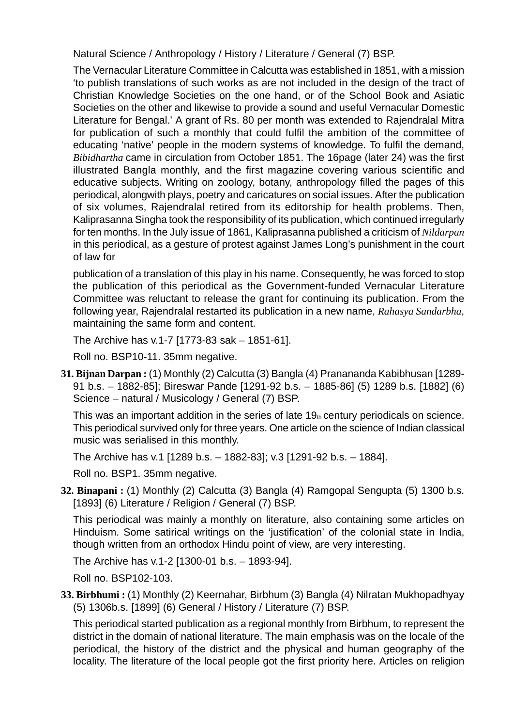Natural Science / Anthropology / History / Literature / General (7) BSP.

The Vernacular Literature Committee in Calcutta was established in 1851, with a mission 'to publish translations of such works as are not included in the design of the tract of Christian Knowledge Societies on the one hand, or of the School Book and Asiatic Societies on the other and likewise to provide a sound and useful Vernacular Domestic Literature for Bengal.' A grant of Rs. 80 per month was extended to Rajendralal Mitra for publication of such a monthly that could fulfil the ambition of the committee of educating 'native' people in the modern systems of knowledge. To fulfil the demand, *Bibidhartha* came in circulation from October 1851. The 16page (later 24) was the first illustrated Bangla monthly, and the first magazine covering various scientific and educative subjects. Writing on zoology, botany, anthropology filled the pages of this periodical, alongwith plays, poetry and caricatures on social issues. After the publication of six volumes, Rajendralal retired from its editorship for health problems. Then, Kaliprasanna Singha took the responsibility of its publication, which continued irregularly for ten months. In the July issue of 1861, Kaliprasanna published a criticism of *Nildarpan* in this periodical, as a gesture of protest against James Long's punishment in the court of law for

publication of a translation of this play in his name. Consequently, he was forced to stop the publication of this periodical as the Government-funded Vernacular Literature Committee was reluctant to release the grant for continuing its publication. From the following year, Rajendralal restarted its publication in a new name, *Rahasya Sandarbha*, maintaining the same form and content.

The Archive has v.1-7 [1773-83 sak – 1851-61].

Roll no. BSP10-11. 35mm negative.

**31. Bijnan Darpan :** (1) Monthly (2) Calcutta (3) Bangla (4) Pranananda Kabibhusan [1289- 91 b.s. – 1882-85]; Bireswar Pande [1291-92 b.s. – 1885-86] (5) 1289 b.s. [1882] (6) Science – natural / Musicology / General (7) BSP.

This was an important addition in the series of late 19th century periodicals on science. This periodical survived only for three years. One article on the science of Indian classical music was serialised in this monthly.

The Archive has v.1 [1289 b.s. – 1882-83]; v.3 [1291-92 b.s. – 1884].

Roll no. BSP1. 35mm negative.

**32. Binapani :** (1) Monthly (2) Calcutta (3) Bangla (4) Ramgopal Sengupta (5) 1300 b.s. [1893] (6) Literature / Religion / General (7) BSP.

This periodical was mainly a monthly on literature, also containing some articles on Hinduism. Some satirical writings on the 'justification' of the colonial state in India, though written from an orthodox Hindu point of view, are very interesting.

The Archive has v.1-2 [1300-01 b.s. – 1893-94].

Roll no. BSP102-103.

**33. Birbhumi :** (1) Monthly (2) Keernahar, Birbhum (3) Bangla (4) Nilratan Mukhopadhyay (5) 1306b.s. [1899] (6) General / History / Literature (7) BSP.

This periodical started publication as a regional monthly from Birbhum, to represent the district in the domain of national literature. The main emphasis was on the locale of the periodical, the history of the district and the physical and human geography of the locality. The literature of the local people got the first priority here. Articles on religion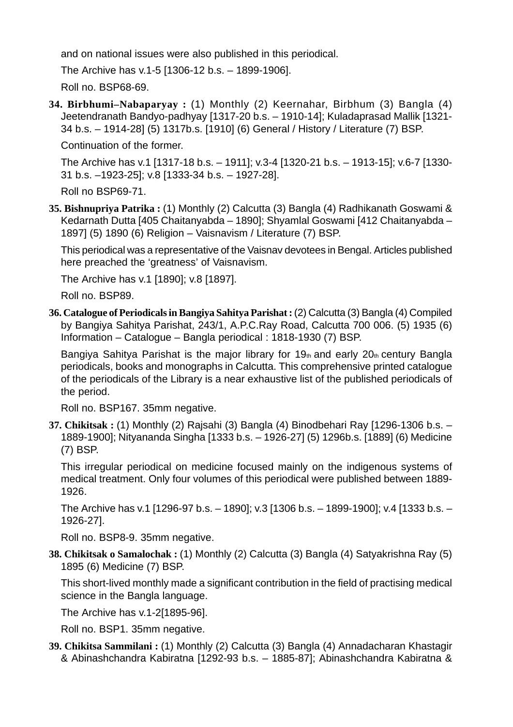and on national issues were also published in this periodical.

The Archive has v.1-5 [1306-12 b.s. – 1899-1906].

Roll no. BSP68-69.

**34. Birbhumi–Nabaparyay :** (1) Monthly (2) Keernahar, Birbhum (3) Bangla (4) Jeetendranath Bandyo-padhyay [1317-20 b.s. – 1910-14]; Kuladaprasad Mallik [1321- 34 b.s. – 1914-28] (5) 1317b.s. [1910] (6) General / History / Literature (7) BSP.

Continuation of the former.

The Archive has v.1 [1317-18 b.s. – 1911]; v.3-4 [1320-21 b.s. – 1913-15]; v.6-7 [1330- 31 b.s. –1923-25]; v.8 [1333-34 b.s. – 1927-28].

Roll no BSP69-71.

**35. Bishnupriya Patrika :** (1) Monthly (2) Calcutta (3) Bangla (4) Radhikanath Goswami & Kedarnath Dutta [405 Chaitanyabda – 1890]; Shyamlal Goswami [412 Chaitanyabda – 1897] (5) 1890 (6) Religion – Vaisnavism / Literature (7) BSP.

This periodical was a representative of the Vaisnav devotees in Bengal. Articles published here preached the 'greatness' of Vaisnavism.

The Archive has v.1 [1890]; v.8 [1897].

Roll no. BSP89.

**36. Catalogue of Periodicals in Bangiya Sahitya Parishat :** (2) Calcutta (3) Bangla (4) Compiled by Bangiya Sahitya Parishat, 243/1, A.P.C.Ray Road, Calcutta 700 006. (5) 1935 (6) Information – Catalogue – Bangla periodical : 1818-1930 (7) BSP.

Bangiya Sahitya Parishat is the major library for 19th and early 20th century Bangla periodicals, books and monographs in Calcutta. This comprehensive printed catalogue of the periodicals of the Library is a near exhaustive list of the published periodicals of the period.

Roll no. BSP167. 35mm negative.

**37. Chikitsak :** (1) Monthly (2) Rajsahi (3) Bangla (4) Binodbehari Ray [1296-1306 b.s. – 1889-1900]; Nityananda Singha [1333 b.s. – 1926-27] (5) 1296b.s. [1889] (6) Medicine (7) BSP.

This irregular periodical on medicine focused mainly on the indigenous systems of medical treatment. Only four volumes of this periodical were published between 1889- 1926.

The Archive has v.1 [1296-97 b.s. – 1890]; v.3 [1306 b.s. – 1899-1900]; v.4 [1333 b.s. – 1926-27].

Roll no. BSP8-9. 35mm negative.

**38. Chikitsak o Samalochak :** (1) Monthly (2) Calcutta (3) Bangla (4) Satyakrishna Ray (5) 1895 (6) Medicine (7) BSP.

This short-lived monthly made a significant contribution in the field of practising medical science in the Bangla language.

The Archive has v.1-2[1895-96].

Roll no. BSP1. 35mm negative.

**39. Chikitsa Sammilani :** (1) Monthly (2) Calcutta (3) Bangla (4) Annadacharan Khastagir & Abinashchandra Kabiratna [1292-93 b.s. – 1885-87]; Abinashchandra Kabiratna &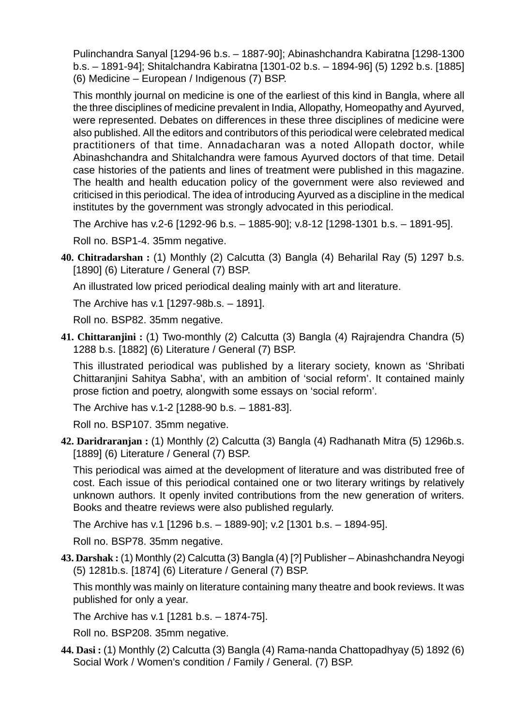Pulinchandra Sanyal [1294-96 b.s. – 1887-90]; Abinashchandra Kabiratna [1298-1300 b.s. – 1891-94]; Shitalchandra Kabiratna [1301-02 b.s. – 1894-96] (5) 1292 b.s. [1885] (6) Medicine – European / Indigenous (7) BSP.

This monthly journal on medicine is one of the earliest of this kind in Bangla, where all the three disciplines of medicine prevalent in India, Allopathy, Homeopathy and Ayurved, were represented. Debates on differences in these three disciplines of medicine were also published. All the editors and contributors of this periodical were celebrated medical practitioners of that time. Annadacharan was a noted Allopath doctor, while Abinashchandra and Shitalchandra were famous Ayurved doctors of that time. Detail case histories of the patients and lines of treatment were published in this magazine. The health and health education policy of the government were also reviewed and criticised in this periodical. The idea of introducing Ayurved as a discipline in the medical institutes by the government was strongly advocated in this periodical.

The Archive has v.2-6 [1292-96 b.s. – 1885-90]; v.8-12 [1298-1301 b.s. – 1891-95].

Roll no. BSP1-4. 35mm negative.

**40. Chitradarshan :** (1) Monthly (2) Calcutta (3) Bangla (4) Beharilal Ray (5) 1297 b.s. [1890] (6) Literature / General (7) BSP.

An illustrated low priced periodical dealing mainly with art and literature.

The Archive has v.1 [1297-98b.s. – 1891].

Roll no. BSP82. 35mm negative.

**41. Chittaranjini :** (1) Two-monthly (2) Calcutta (3) Bangla (4) Rajrajendra Chandra (5) 1288 b.s. [1882] (6) Literature / General (7) BSP.

This illustrated periodical was published by a literary society, known as 'Shribati Chittaranjini Sahitya Sabha', with an ambition of 'social reform'. It contained mainly prose fiction and poetry, alongwith some essays on 'social reform'.

The Archive has v.1-2 [1288-90 b.s. – 1881-83].

Roll no. BSP107. 35mm negative.

**42. Daridraranjan :** (1) Monthly (2) Calcutta (3) Bangla (4) Radhanath Mitra (5) 1296b.s. [1889] (6) Literature / General (7) BSP.

This periodical was aimed at the development of literature and was distributed free of cost. Each issue of this periodical contained one or two literary writings by relatively unknown authors. It openly invited contributions from the new generation of writers. Books and theatre reviews were also published regularly.

The Archive has v.1 [1296 b.s. – 1889-90]; v.2 [1301 b.s. – 1894-95].

Roll no. BSP78. 35mm negative.

**43. Darshak :** (1) Monthly (2) Calcutta (3) Bangla (4) [?] Publisher – Abinashchandra Neyogi (5) 1281b.s. [1874] (6) Literature / General (7) BSP.

This monthly was mainly on literature containing many theatre and book reviews. It was published for only a year.

The Archive has v.1 [1281 b.s. – 1874-75].

Roll no. BSP208. 35mm negative.

**44. Dasi :** (1) Monthly (2) Calcutta (3) Bangla (4) Rama-nanda Chattopadhyay (5) 1892 (6) Social Work / Women's condition / Family / General. (7) BSP.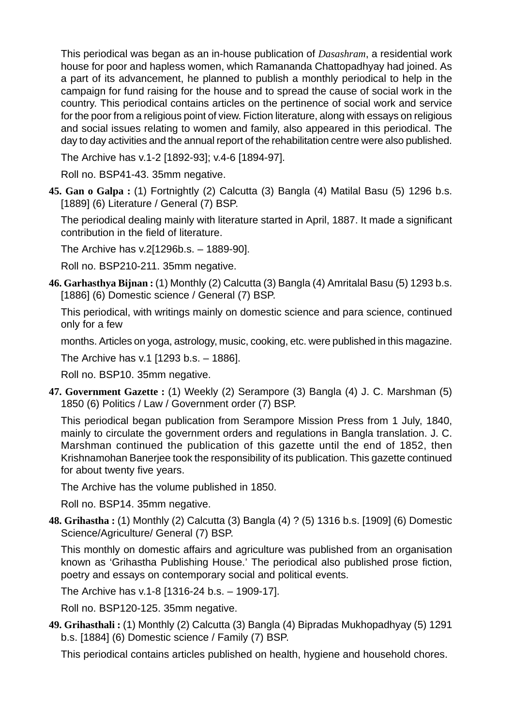This periodical was began as an in-house publication of *Dasashram*, a residential work house for poor and hapless women, which Ramananda Chattopadhyay had joined. As a part of its advancement, he planned to publish a monthly periodical to help in the campaign for fund raising for the house and to spread the cause of social work in the country. This periodical contains articles on the pertinence of social work and service for the poor from a religious point of view. Fiction literature, along with essays on religious and social issues relating to women and family, also appeared in this periodical. The day to day activities and the annual report of the rehabilitation centre were also published.

The Archive has v.1-2 [1892-93]; v.4-6 [1894-97].

Roll no. BSP41-43. 35mm negative.

**45. Gan o Galpa :** (1) Fortnightly (2) Calcutta (3) Bangla (4) Matilal Basu (5) 1296 b.s. [1889] (6) Literature / General (7) BSP.

The periodical dealing mainly with literature started in April, 1887. It made a significant contribution in the field of literature.

The Archive has v.2[1296b.s. – 1889-90].

Roll no. BSP210-211. 35mm negative.

**46. Garhasthya Bijnan :** (1) Monthly (2) Calcutta (3) Bangla (4) Amritalal Basu (5) 1293 b.s. [1886] (6) Domestic science / General (7) BSP.

This periodical, with writings mainly on domestic science and para science, continued only for a few

months. Articles on yoga, astrology, music, cooking, etc. were published in this magazine.

The Archive has v.1 [1293 b.s. – 1886].

Roll no. BSP10. 35mm negative.

**47. Government Gazette :** (1) Weekly (2) Serampore (3) Bangla (4) J. C. Marshman (5) 1850 (6) Politics / Law / Government order (7) BSP.

This periodical began publication from Serampore Mission Press from 1 July, 1840, mainly to circulate the government orders and regulations in Bangla translation. J. C. Marshman continued the publication of this gazette until the end of 1852, then Krishnamohan Banerjee took the responsibility of its publication. This gazette continued for about twenty five years.

The Archive has the volume published in 1850.

Roll no. BSP14. 35mm negative.

**48. Grihastha :** (1) Monthly (2) Calcutta (3) Bangla (4) ? (5) 1316 b.s. [1909] (6) Domestic Science/Agriculture/ General (7) BSP.

This monthly on domestic affairs and agriculture was published from an organisation known as 'Grihastha Publishing House.' The periodical also published prose fiction, poetry and essays on contemporary social and political events.

The Archive has v.1-8 [1316-24 b.s. – 1909-17].

Roll no. BSP120-125. 35mm negative.

**49. Grihasthali :** (1) Monthly (2) Calcutta (3) Bangla (4) Bipradas Mukhopadhyay (5) 1291 b.s. [1884] (6) Domestic science / Family (7) BSP.

This periodical contains articles published on health, hygiene and household chores.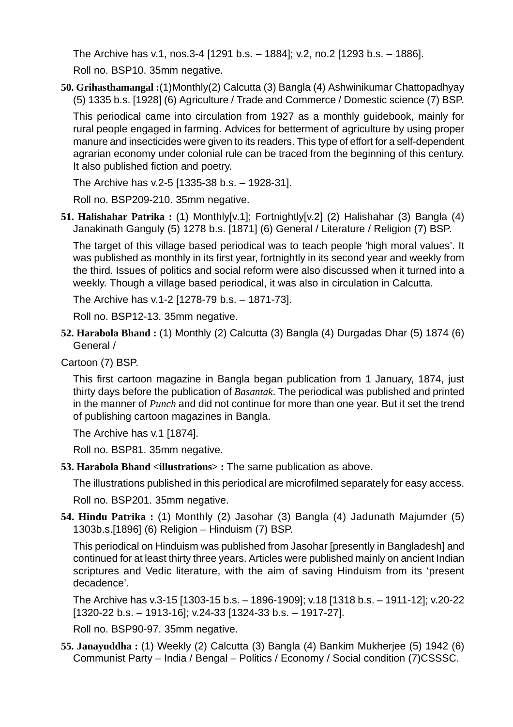The Archive has v.1, nos.3-4 [1291 b.s. – 1884]; v.2, no.2 [1293 b.s. – 1886]. Roll no. BSP10. 35mm negative.

**50. Grihasthamangal :**(1)Monthly(2) Calcutta (3) Bangla (4) Ashwinikumar Chattopadhyay (5) 1335 b.s. [1928] (6) Agriculture / Trade and Commerce / Domestic science (7) BSP.

This periodical came into circulation from 1927 as a monthly guidebook, mainly for rural people engaged in farming. Advices for betterment of agriculture by using proper manure and insecticides were given to its readers. This type of effort for a self-dependent agrarian economy under colonial rule can be traced from the beginning of this century. It also published fiction and poetry.

The Archive has v.2-5 [1335-38 b.s. – 1928-31].

Roll no. BSP209-210. 35mm negative.

**51. Halishahar Patrika :** (1) Monthly[v.1]; Fortnightly[v.2] (2) Halishahar (3) Bangla (4) Janakinath Ganguly (5) 1278 b.s. [1871] (6) General / Literature / Religion (7) BSP.

The target of this village based periodical was to teach people 'high moral values'. It was published as monthly in its first year, fortnightly in its second year and weekly from the third. Issues of politics and social reform were also discussed when it turned into a weekly. Though a village based periodical, it was also in circulation in Calcutta.

The Archive has v.1-2 [1278-79 b.s. – 1871-73].

Roll no. BSP12-13. 35mm negative.

**52. Harabola Bhand :** (1) Monthly (2) Calcutta (3) Bangla (4) Durgadas Dhar (5) 1874 (6) General /

Cartoon (7) BSP.

This first cartoon magazine in Bangla began publication from 1 January, 1874, just thirty days before the publication of *Basantak*. The periodical was published and printed in the manner of *Punch* and did not continue for more than one year. But it set the trend of publishing cartoon magazines in Bangla.

The Archive has v.1 [1874].

Roll no. BSP81. 35mm negative.

**53. Harabola Bhand <illustrations> :** The same publication as above.

The illustrations published in this periodical are microfilmed separately for easy access.

Roll no. BSP201. 35mm negative.

**54. Hindu Patrika :** (1) Monthly (2) Jasohar (3) Bangla (4) Jadunath Majumder (5) 1303b.s.[1896] (6) Religion – Hinduism (7) BSP.

This periodical on Hinduism was published from Jasohar [presently in Bangladesh] and continued for at least thirty three years. Articles were published mainly on ancient Indian scriptures and Vedic literature, with the aim of saving Hinduism from its 'present decadence'.

The Archive has v.3-15 [1303-15 b.s. – 1896-1909]; v.18 [1318 b.s. – 1911-12]; v.20-22 [1320-22 b.s. – 1913-16]; v.24-33 [1324-33 b.s. – 1917-27].

Roll no. BSP90-97. 35mm negative.

**55. Janayuddha :** (1) Weekly (2) Calcutta (3) Bangla (4) Bankim Mukherjee (5) 1942 (6) Communist Party – India / Bengal – Politics / Economy / Social condition (7)CSSSC.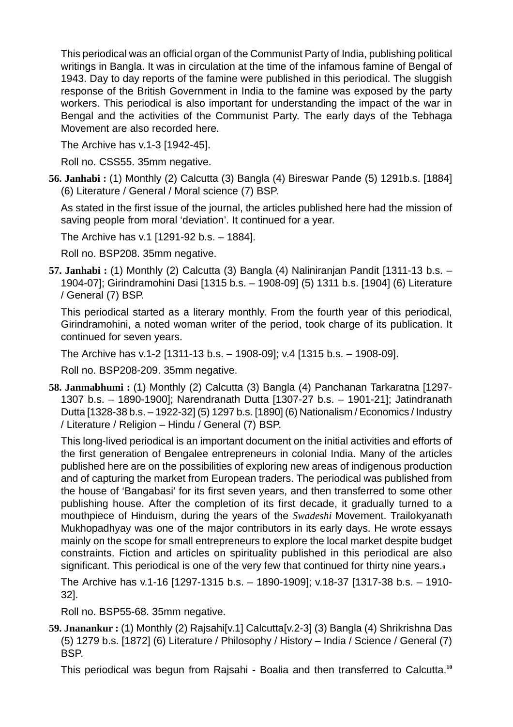This periodical was an official organ of the Communist Party of India, publishing political writings in Bangla. It was in circulation at the time of the infamous famine of Bengal of 1943. Day to day reports of the famine were published in this periodical. The sluggish response of the British Government in India to the famine was exposed by the party workers. This periodical is also important for understanding the impact of the war in Bengal and the activities of the Communist Party. The early days of the Tebhaga Movement are also recorded here.

The Archive has v.1-3 [1942-45].

Roll no. CSS55. 35mm negative.

**56. Janhabi :** (1) Monthly (2) Calcutta (3) Bangla (4) Bireswar Pande (5) 1291b.s. [1884] (6) Literature / General / Moral science (7) BSP.

As stated in the first issue of the journal, the articles published here had the mission of saving people from moral 'deviation'. It continued for a year.

The Archive has v.1 [1291-92 b.s. – 1884].

Roll no. BSP208. 35mm negative.

**57. Janhabi :** (1) Monthly (2) Calcutta (3) Bangla (4) Naliniranjan Pandit [1311-13 b.s. – 1904-07]; Girindramohini Dasi [1315 b.s. – 1908-09] (5) 1311 b.s. [1904] (6) Literature / General (7) BSP.

This periodical started as a literary monthly. From the fourth year of this periodical, Girindramohini, a noted woman writer of the period, took charge of its publication. It continued for seven years.

The Archive has v.1-2 [1311-13 b.s. – 1908-09]; v.4 [1315 b.s. – 1908-09].

Roll no. BSP208-209. 35mm negative.

**58. Janmabhumi :** (1) Monthly (2) Calcutta (3) Bangla (4) Panchanan Tarkaratna [1297- 1307 b.s. – 1890-1900]; Narendranath Dutta [1307-27 b.s. – 1901-21]; Jatindranath Dutta [1328-38 b.s. – 1922-32] (5) 1297 b.s. [1890] (6) Nationalism / Economics / Industry / Literature / Religion – Hindu / General (7) BSP.

This long-lived periodical is an important document on the initial activities and efforts of the first generation of Bengalee entrepreneurs in colonial India. Many of the articles published here are on the possibilities of exploring new areas of indigenous production and of capturing the market from European traders. The periodical was published from the house of 'Bangabasi' for its first seven years, and then transferred to some other publishing house. After the completion of its first decade, it gradually turned to a mouthpiece of Hinduism, during the years of the *Swadeshi* Movement. Trailokyanath Mukhopadhyay was one of the major contributors in its early days. He wrote essays mainly on the scope for small entrepreneurs to explore the local market despite budget constraints. Fiction and articles on spirituality published in this periodical are also significant. This periodical is one of the very few that continued for thirty nine years.**<sup>9</sup>**

The Archive has v.1-16 [1297-1315 b.s. – 1890-1909]; v.18-37 [1317-38 b.s. – 1910- 32].

Roll no. BSP55-68. 35mm negative.

**59. Jnanankur :** (1) Monthly (2) Rajsahi[v.1] Calcutta[v.2-3] (3) Bangla (4) Shrikrishna Das (5) 1279 b.s. [1872] (6) Literature / Philosophy / History – India / Science / General (7) BSP.

This periodical was begun from Rajsahi - Boalia and then transferred to Calcutta.**10**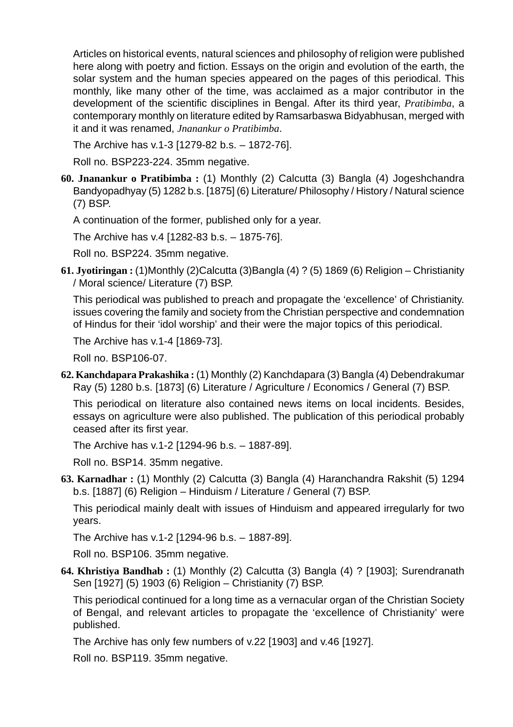Articles on historical events, natural sciences and philosophy of religion were published here along with poetry and fiction. Essays on the origin and evolution of the earth, the solar system and the human species appeared on the pages of this periodical. This monthly, like many other of the time, was acclaimed as a major contributor in the development of the scientific disciplines in Bengal. After its third year, *Pratibimba*, a contemporary monthly on literature edited by Ramsarbaswa Bidyabhusan, merged with it and it was renamed, *Jnanankur o Pratibimba*.

The Archive has v.1-3 [1279-82 b.s. – 1872-76].

Roll no. BSP223-224. 35mm negative.

**60. Jnanankur o Pratibimba :** (1) Monthly (2) Calcutta (3) Bangla (4) Jogeshchandra Bandyopadhyay (5) 1282 b.s. [1875] (6) Literature/ Philosophy / History / Natural science (7) BSP.

A continuation of the former, published only for a year.

The Archive has v.4 [1282-83 b.s. – 1875-76].

Roll no. BSP224. 35mm negative.

**61. Jyotiringan :** (1)Monthly (2)Calcutta (3)Bangla (4) ? (5) 1869 (6) Religion – Christianity / Moral science/ Literature (7) BSP.

This periodical was published to preach and propagate the 'excellence' of Christianity. issues covering the family and society from the Christian perspective and condemnation of Hindus for their 'idol worship' and their were the major topics of this periodical.

The Archive has v.1-4 [1869-73].

Roll no. BSP106-07.

**62. Kanchdapara Prakashika :** (1) Monthly (2) Kanchdapara (3) Bangla (4) Debendrakumar Ray (5) 1280 b.s. [1873] (6) Literature / Agriculture / Economics / General (7) BSP.

This periodical on literature also contained news items on local incidents. Besides, essays on agriculture were also published. The publication of this periodical probably ceased after its first year.

The Archive has v.1-2 [1294-96 b.s. – 1887-89].

Roll no. BSP14. 35mm negative.

**63. Karnadhar :** (1) Monthly (2) Calcutta (3) Bangla (4) Haranchandra Rakshit (5) 1294 b.s. [1887] (6) Religion – Hinduism / Literature / General (7) BSP.

This periodical mainly dealt with issues of Hinduism and appeared irregularly for two years.

The Archive has v.1-2 [1294-96 b.s. – 1887-89].

Roll no. BSP106. 35mm negative.

**64. Khristiya Bandhab :** (1) Monthly (2) Calcutta (3) Bangla (4) ? [1903]; Surendranath Sen [1927] (5) 1903 (6) Religion – Christianity (7) BSP.

This periodical continued for a long time as a vernacular organ of the Christian Society of Bengal, and relevant articles to propagate the 'excellence of Christianity' were published.

The Archive has only few numbers of v.22 [1903] and v.46 [1927].

Roll no. BSP119. 35mm negative.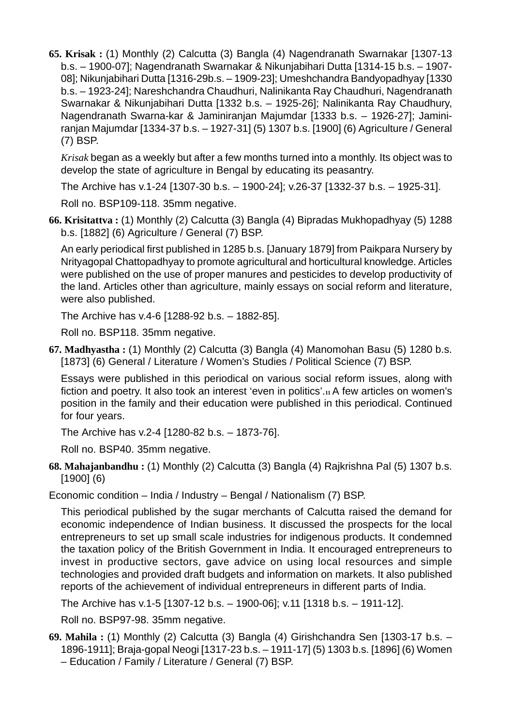**65. Krisak :** (1) Monthly (2) Calcutta (3) Bangla (4) Nagendranath Swarnakar [1307-13 b.s. – 1900-07]; Nagendranath Swarnakar & Nikunjabihari Dutta [1314-15 b.s. – 1907- 08]; Nikunjabihari Dutta [1316-29b.s. – 1909-23]; Umeshchandra Bandyopadhyay [1330 b.s. – 1923-24]; Nareshchandra Chaudhuri, Nalinikanta Ray Chaudhuri, Nagendranath Swarnakar & Nikunjabihari Dutta [1332 b.s. – 1925-26]; Nalinikanta Ray Chaudhury, Nagendranath Swarna-kar & Jaminiranjan Majumdar [1333 b.s. – 1926-27]; Jaminiranjan Majumdar [1334-37 b.s. – 1927-31] (5) 1307 b.s. [1900] (6) Agriculture / General (7) BSP.

*Krisak* began as a weekly but after a few months turned into a monthly. Its object was to develop the state of agriculture in Bengal by educating its peasantry.

The Archive has v.1-24 [1307-30 b.s. – 1900-24]; v.26-37 [1332-37 b.s. – 1925-31].

Roll no. BSP109-118. 35mm negative.

**66. Krisitattva :** (1) Monthly (2) Calcutta (3) Bangla (4) Bipradas Mukhopadhyay (5) 1288 b.s. [1882] (6) Agriculture / General (7) BSP.

An early periodical first published in 1285 b.s. [January 1879] from Paikpara Nursery by Nrityagopal Chattopadhyay to promote agricultural and horticultural knowledge. Articles were published on the use of proper manures and pesticides to develop productivity of the land. Articles other than agriculture, mainly essays on social reform and literature, were also published.

The Archive has v.4-6 [1288-92 b.s. – 1882-85].

Roll no. BSP118. 35mm negative.

**67. Madhyastha :** (1) Monthly (2) Calcutta (3) Bangla (4) Manomohan Basu (5) 1280 b.s. [1873] (6) General / Literature / Women's Studies / Political Science (7) BSP.

Essays were published in this periodical on various social reform issues, along with fiction and poetry. It also took an interest 'even in politics'.**11** A few articles on women's position in the family and their education were published in this periodical. Continued for four years.

The Archive has v.2-4 [1280-82 b.s. – 1873-76].

Roll no. BSP40. 35mm negative.

**68. Mahajanbandhu :** (1) Monthly (2) Calcutta (3) Bangla (4) Rajkrishna Pal (5) 1307 b.s. [1900] (6)

Economic condition – India / Industry – Bengal / Nationalism (7) BSP.

This periodical published by the sugar merchants of Calcutta raised the demand for economic independence of Indian business. It discussed the prospects for the local entrepreneurs to set up small scale industries for indigenous products. It condemned the taxation policy of the British Government in India. It encouraged entrepreneurs to invest in productive sectors, gave advice on using local resources and simple technologies and provided draft budgets and information on markets. It also published reports of the achievement of individual entrepreneurs in different parts of India.

The Archive has v.1-5 [1307-12 b.s. – 1900-06]; v.11 [1318 b.s. – 1911-12].

Roll no. BSP97-98. 35mm negative.

**69. Mahila :** (1) Monthly (2) Calcutta (3) Bangla (4) Girishchandra Sen [1303-17 b.s. – 1896-1911]; Braja-gopal Neogi [1317-23 b.s. – 1911-17] (5) 1303 b.s. [1896] (6) Women – Education / Family / Literature / General (7) BSP.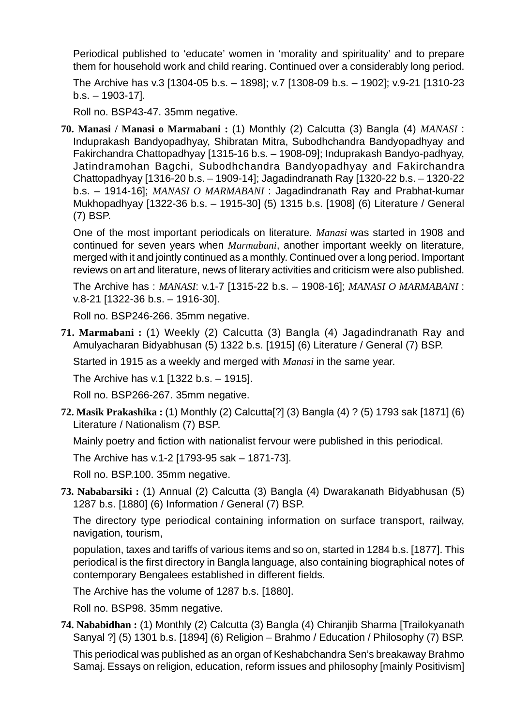Periodical published to 'educate' women in 'morality and spirituality' and to prepare them for household work and child rearing. Continued over a considerably long period.

The Archive has v.3 [1304-05 b.s. – 1898]; v.7 [1308-09 b.s. – 1902]; v.9-21 [1310-23 b.s. – 1903-17].

Roll no. BSP43-47. 35mm negative.

**70. Manasi / Manasi o Marmabani :** (1) Monthly (2) Calcutta (3) Bangla (4) *MANASI* : Induprakash Bandyopadhyay, Shibratan Mitra, Subodhchandra Bandyopadhyay and Fakirchandra Chattopadhyay [1315-16 b.s. – 1908-09]; Induprakash Bandyo-padhyay, Jatindramohan Bagchi, Subodhchandra Bandyopadhyay and Fakirchandra Chattopadhyay [1316-20 b.s. – 1909-14]; Jagadindranath Ray [1320-22 b.s. – 1320-22 b.s. – 1914-16]; *MANASI O MARMABANI* : Jagadindranath Ray and Prabhat-kumar Mukhopadhyay [1322-36 b.s. – 1915-30] (5) 1315 b.s. [1908] (6) Literature / General (7) BSP.

One of the most important periodicals on literature. *Manasi* was started in 1908 and continued for seven years when *Marmabani*, another important weekly on literature, merged with it and jointly continued as a monthly. Continued over a long period. Important reviews on art and literature, news of literary activities and criticism were also published.

The Archive has : *MANASI*: v.1-7 [1315-22 b.s. – 1908-16]; *MANASI O MARMABANI* : v.8-21 [1322-36 b.s. – 1916-30].

Roll no. BSP246-266. 35mm negative.

**71. Marmabani :** (1) Weekly (2) Calcutta (3) Bangla (4) Jagadindranath Ray and Amulyacharan Bidyabhusan (5) 1322 b.s. [1915] (6) Literature / General (7) BSP.

Started in 1915 as a weekly and merged with *Manasi* in the same year.

The Archive has v.1 [1322 b.s. – 1915].

Roll no. BSP266-267. 35mm negative.

**72. Masik Prakashika :** (1) Monthly (2) Calcutta[?] (3) Bangla (4) ? (5) 1793 sak [1871] (6) Literature / Nationalism (7) BSP.

Mainly poetry and fiction with nationalist fervour were published in this periodical.

The Archive has v.1-2 [1793-95 sak – 1871-73].

Roll no. BSP.100. 35mm negative.

**73. Nababarsiki :** (1) Annual (2) Calcutta (3) Bangla (4) Dwarakanath Bidyabhusan (5) 1287 b.s. [1880] (6) Information / General (7) BSP.

The directory type periodical containing information on surface transport, railway, navigation, tourism,

population, taxes and tariffs of various items and so on, started in 1284 b.s. [1877]. This periodical is the first directory in Bangla language, also containing biographical notes of contemporary Bengalees established in different fields.

The Archive has the volume of 1287 b.s. [1880].

Roll no. BSP98. 35mm negative.

**74. Nababidhan :** (1) Monthly (2) Calcutta (3) Bangla (4) Chiranjib Sharma [Trailokyanath Sanyal ?] (5) 1301 b.s. [1894] (6) Religion – Brahmo / Education / Philosophy (7) BSP.

This periodical was published as an organ of Keshabchandra Sen's breakaway Brahmo Samaj. Essays on religion, education, reform issues and philosophy [mainly Positivism]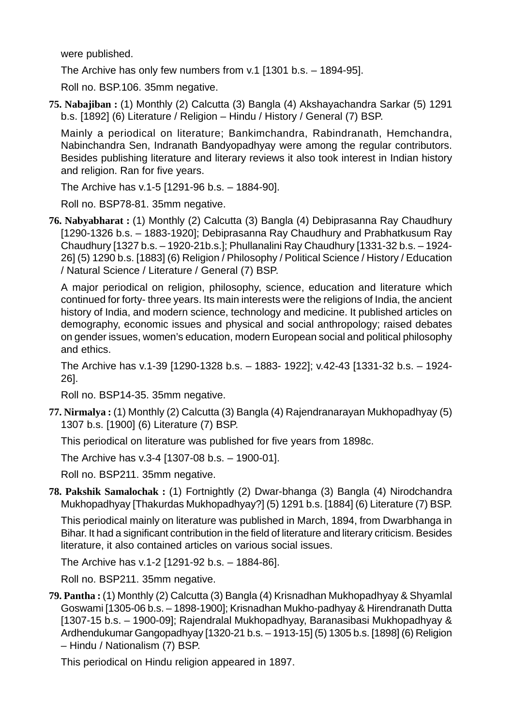were published.

The Archive has only few numbers from v.1 [1301 b.s. – 1894-95].

Roll no. BSP.106. 35mm negative.

**75. Nabajiban :** (1) Monthly (2) Calcutta (3) Bangla (4) Akshayachandra Sarkar (5) 1291 b.s. [1892] (6) Literature / Religion – Hindu / History / General (7) BSP.

Mainly a periodical on literature; Bankimchandra, Rabindranath, Hemchandra, Nabinchandra Sen, Indranath Bandyopadhyay were among the regular contributors. Besides publishing literature and literary reviews it also took interest in Indian history and religion. Ran for five years.

The Archive has v.1-5 [1291-96 b.s. – 1884-90].

Roll no. BSP78-81. 35mm negative.

**76. Nabyabharat :** (1) Monthly (2) Calcutta (3) Bangla (4) Debiprasanna Ray Chaudhury [1290-1326 b.s. – 1883-1920]; Debiprasanna Ray Chaudhury and Prabhatkusum Ray Chaudhury [1327 b.s. – 1920-21b.s.]; Phullanalini Ray Chaudhury [1331-32 b.s. – 1924- 26] (5) 1290 b.s. [1883] (6) Religion / Philosophy / Political Science / History / Education / Natural Science / Literature / General (7) BSP.

A major periodical on religion, philosophy, science, education and literature which continued for forty- three years. Its main interests were the religions of India, the ancient history of India, and modern science, technology and medicine. It published articles on demography, economic issues and physical and social anthropology; raised debates on gender issues, women's education, modern European social and political philosophy and ethics.

The Archive has v.1-39 [1290-1328 b.s. – 1883- 1922]; v.42-43 [1331-32 b.s. – 1924- 26].

Roll no. BSP14-35. 35mm negative.

**77. Nirmalya :** (1) Monthly (2) Calcutta (3) Bangla (4) Rajendranarayan Mukhopadhyay (5) 1307 b.s. [1900] (6) Literature (7) BSP.

This periodical on literature was published for five years from 1898c.

The Archive has v.3-4 [1307-08 b.s. – 1900-01].

Roll no. BSP211. 35mm negative.

**78. Pakshik Samalochak :** (1) Fortnightly (2) Dwar-bhanga (3) Bangla (4) Nirodchandra Mukhopadhyay [Thakurdas Mukhopadhyay?] (5) 1291 b.s. [1884] (6) Literature (7) BSP.

This periodical mainly on literature was published in March, 1894, from Dwarbhanga in Bihar. It had a significant contribution in the field of literature and literary criticism. Besides literature, it also contained articles on various social issues.

The Archive has v.1-2 [1291-92 b.s. – 1884-86].

Roll no. BSP211. 35mm negative.

**79. Pantha :** (1) Monthly (2) Calcutta (3) Bangla (4) Krisnadhan Mukhopadhyay & Shyamlal Goswami [1305-06 b.s. – 1898-1900]; Krisnadhan Mukho-padhyay & Hirendranath Dutta [1307-15 b.s. – 1900-09]; Rajendralal Mukhopadhyay, Baranasibasi Mukhopadhyay & Ardhendukumar Gangopadhyay [1320-21 b.s. – 1913-15] (5) 1305 b.s. [1898] (6) Religion – Hindu / Nationalism (7) BSP.

This periodical on Hindu religion appeared in 1897.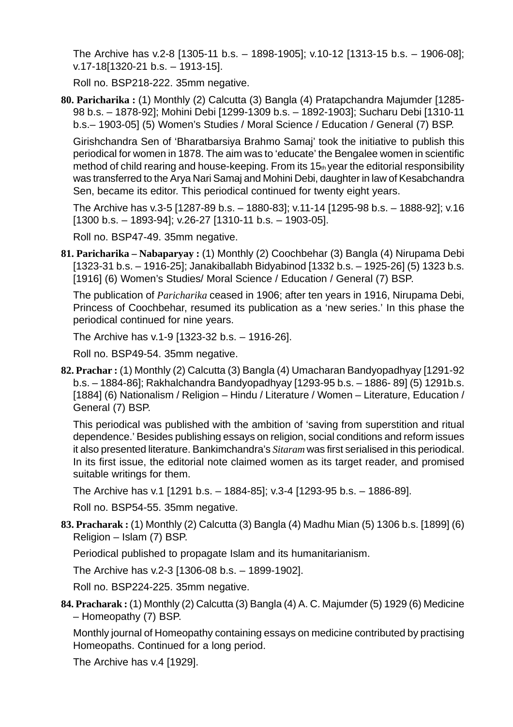The Archive has v.2-8 [1305-11 b.s. – 1898-1905]; v.10-12 [1313-15 b.s. – 1906-08]; v.17-18[1320-21 b.s. – 1913-15].

Roll no. BSP218-222. 35mm negative.

**80. Paricharika :** (1) Monthly (2) Calcutta (3) Bangla (4) Pratapchandra Majumder [1285- 98 b.s. – 1878-92]; Mohini Debi [1299-1309 b.s. – 1892-1903]; Sucharu Debi [1310-11 b.s.– 1903-05] (5) Women's Studies / Moral Science / Education / General (7) BSP.

Girishchandra Sen of 'Bharatbarsiya Brahmo Samaj' took the initiative to publish this periodical for women in 1878. The aim was to 'educate' the Bengalee women in scientific method of child rearing and house-keeping. From its  $15<sub>th</sub>$  year the editorial responsibility was transferred to the Arya Nari Samaj and Mohini Debi, daughter in law of Kesabchandra Sen, became its editor. This periodical continued for twenty eight years.

The Archive has v.3-5 [1287-89 b.s. – 1880-83]; v.11-14 [1295-98 b.s. – 1888-92]; v.16 [1300 b.s. – 1893-94]; v.26-27 [1310-11 b.s. – 1903-05].

Roll no. BSP47-49. 35mm negative.

**81. Paricharika – Nabaparyay :** (1) Monthly (2) Coochbehar (3) Bangla (4) Nirupama Debi [1323-31 b.s. – 1916-25]; Janakiballabh Bidyabinod [1332 b.s. – 1925-26] (5) 1323 b.s. [1916] (6) Women's Studies/ Moral Science / Education / General (7) BSP.

The publication of *Paricharika* ceased in 1906; after ten years in 1916, Nirupama Debi, Princess of Coochbehar, resumed its publication as a 'new series.' In this phase the periodical continued for nine years.

The Archive has v.1-9 [1323-32 b.s. – 1916-26].

Roll no. BSP49-54. 35mm negative.

**82. Prachar :** (1) Monthly (2) Calcutta (3) Bangla (4) Umacharan Bandyopadhyay [1291-92 b.s. – 1884-86]; Rakhalchandra Bandyopadhyay [1293-95 b.s. – 1886- 89] (5) 1291b.s. [1884] (6) Nationalism / Religion – Hindu / Literature / Women – Literature, Education / General (7) BSP.

This periodical was published with the ambition of 'saving from superstition and ritual dependence.' Besides publishing essays on religion, social conditions and reform issues it also presented literature. Bankimchandra's *Sitaram* was first serialised in this periodical. In its first issue, the editorial note claimed women as its target reader, and promised suitable writings for them.

The Archive has v.1 [1291 b.s. – 1884-85]; v.3-4 [1293-95 b.s. – 1886-89].

Roll no. BSP54-55. 35mm negative.

**83. Pracharak :** (1) Monthly (2) Calcutta (3) Bangla (4) Madhu Mian (5) 1306 b.s. [1899] (6) Religion – Islam (7) BSP.

Periodical published to propagate Islam and its humanitarianism.

The Archive has v.2-3 [1306-08 b.s. – 1899-1902].

Roll no. BSP224-225. 35mm negative.

**84. Pracharak :** (1) Monthly (2) Calcutta (3) Bangla (4) A. C. Majumder (5) 1929 (6) Medicine – Homeopathy (7) BSP.

Monthly journal of Homeopathy containing essays on medicine contributed by practising Homeopaths. Continued for a long period.

The Archive has v.4 [1929].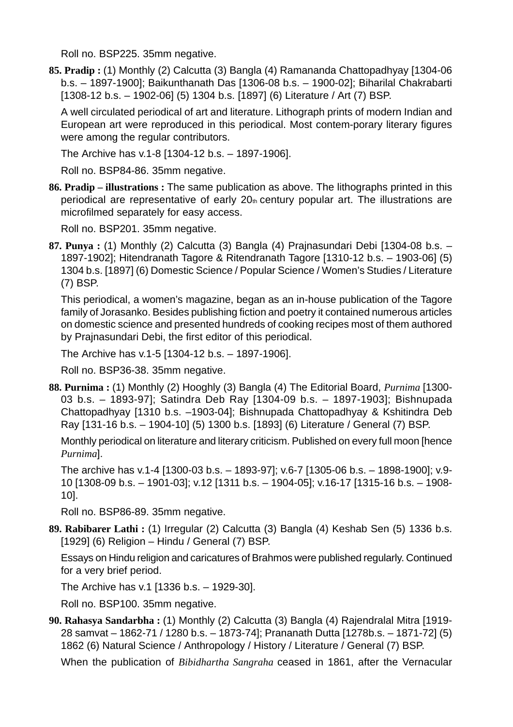Roll no. BSP225. 35mm negative.

**85. Pradip :** (1) Monthly (2) Calcutta (3) Bangla (4) Ramananda Chattopadhyay [1304-06 b.s. – 1897-1900]; Baikunthanath Das [1306-08 b.s. – 1900-02]; Biharilal Chakrabarti [1308-12 b.s. – 1902-06] (5) 1304 b.s. [1897] (6) Literature / Art (7) BSP.

A well circulated periodical of art and literature. Lithograph prints of modern Indian and European art were reproduced in this periodical. Most contem-porary literary figures were among the regular contributors.

The Archive has v.1-8 [1304-12 b.s. – 1897-1906].

Roll no. BSP84-86. 35mm negative.

**86. Pradip – illustrations :** The same publication as above. The lithographs printed in this periodical are representative of early  $20<sub>th</sub>$  century popular art. The illustrations are microfilmed separately for easy access.

Roll no. BSP201. 35mm negative.

**87. Punya :** (1) Monthly (2) Calcutta (3) Bangla (4) Prajnasundari Debi [1304-08 b.s. – 1897-1902]; Hitendranath Tagore & Ritendranath Tagore [1310-12 b.s. – 1903-06] (5) 1304 b.s. [1897] (6) Domestic Science / Popular Science / Women's Studies / Literature (7) BSP.

This periodical, a women's magazine, began as an in-house publication of the Tagore family of Jorasanko. Besides publishing fiction and poetry it contained numerous articles on domestic science and presented hundreds of cooking recipes most of them authored by Prajnasundari Debi, the first editor of this periodical.

The Archive has v.1-5 [1304-12 b.s. – 1897-1906].

Roll no. BSP36-38. 35mm negative.

**88. Purnima :** (1) Monthly (2) Hooghly (3) Bangla (4) The Editorial Board, *Purnima* [1300- 03 b.s. – 1893-97]; Satindra Deb Ray [1304-09 b.s. – 1897-1903]; Bishnupada Chattopadhyay [1310 b.s. –1903-04]; Bishnupada Chattopadhyay & Kshitindra Deb Ray [131-16 b.s. – 1904-10] (5) 1300 b.s. [1893] (6) Literature / General (7) BSP.

Monthly periodical on literature and literary criticism. Published on every full moon [hence *Purnima*].

The archive has v.1-4 [1300-03 b.s. – 1893-97]; v.6-7 [1305-06 b.s. – 1898-1900]; v.9- 10 [1308-09 b.s. – 1901-03]; v.12 [1311 b.s. – 1904-05]; v.16-17 [1315-16 b.s. – 1908- 10].

Roll no. BSP86-89. 35mm negative.

**89. Rabibarer Lathi :** (1) Irregular (2) Calcutta (3) Bangla (4) Keshab Sen (5) 1336 b.s. [1929] (6) Religion – Hindu / General (7) BSP.

Essays on Hindu religion and caricatures of Brahmos were published regularly. Continued for a very brief period.

The Archive has v.1 [1336 b.s. – 1929-30].

Roll no. BSP100. 35mm negative.

**90. Rahasya Sandarbha :** (1) Monthly (2) Calcutta (3) Bangla (4) Rajendralal Mitra [1919- 28 samvat – 1862-71 / 1280 b.s. – 1873-74]; Prananath Dutta [1278b.s. – 1871-72] (5) 1862 (6) Natural Science / Anthropology / History / Literature / General (7) BSP.

When the publication of *Bibidhartha Sangraha* ceased in 1861, after the Vernacular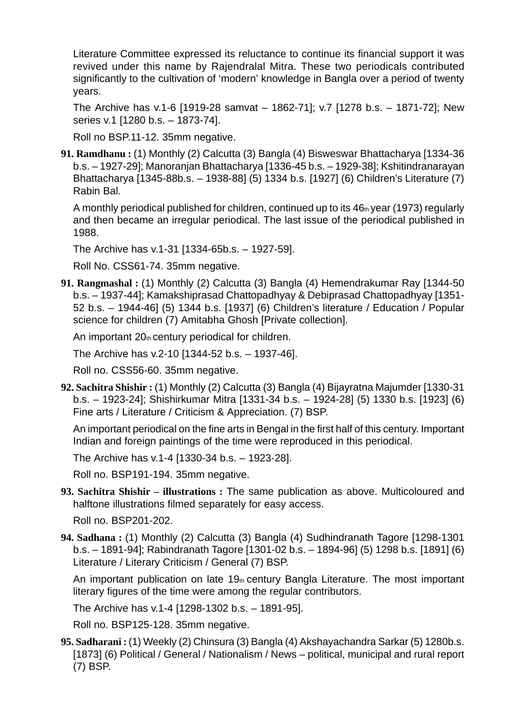Literature Committee expressed its reluctance to continue its financial support it was revived under this name by Rajendralal Mitra. These two periodicals contributed significantly to the cultivation of 'modern' knowledge in Bangla over a period of twenty years.

The Archive has v.1-6 [1919-28 samvat – 1862-71]; v.7 [1278 b.s. – 1871-72]; New series v.1 [1280 b.s. – 1873-74].

Roll no BSP.11-12. 35mm negative.

**91. Ramdhanu :** (1) Monthly (2) Calcutta (3) Bangla (4) Bisweswar Bhattacharya [1334-36 b.s. – 1927-29]; Manoranjan Bhattacharya [1336-45 b.s. – 1929-38]; Kshitindranarayan Bhattacharya [1345-88b.s. – 1938-88] (5) 1334 b.s. [1927] (6) Children's Literature (7) Rabin Bal.

A monthly periodical published for children, continued up to its  $46<sub>th</sub>$  year (1973) regularly and then became an irregular periodical. The last issue of the periodical published in 1988.

The Archive has v.1-31 [1334-65b.s. – 1927-59].

Roll No. CSS61-74. 35mm negative.

**91. Rangmashal :** (1) Monthly (2) Calcutta (3) Bangla (4) Hemendrakumar Ray [1344-50 b.s. – 1937-44]; Kamakshiprasad Chattopadhyay & Debiprasad Chattopadhyay [1351- 52 b.s. – 1944-46] (5) 1344 b.s. [1937] (6) Children's literature / Education / Popular science for children (7) Amitabha Ghosh [Private collection].

An important  $20<sub>th</sub>$  century periodical for children.

The Archive has v.2-10 [1344-52 b.s. – 1937-46].

Roll no. CSS56-60. 35mm negative.

**92. Sachitra Shishir :** (1) Monthly (2) Calcutta (3) Bangla (4) Bijayratna Majumder [1330-31 b.s. – 1923-24]; Shishirkumar Mitra [1331-34 b.s. – 1924-28] (5) 1330 b.s. [1923] (6) Fine arts / Literature / Criticism & Appreciation. (7) BSP.

An important periodical on the fine arts in Bengal in the first half of this century. Important Indian and foreign paintings of the time were reproduced in this periodical.

The Archive has v.1-4 [1330-34 b.s. – 1923-28].

Roll no. BSP191-194. 35mm negative.

**93. Sachitra Shishir – illustrations :** The same publication as above. Multicoloured and halftone illustrations filmed separately for easy access.

Roll no. BSP201-202.

**94. Sadhana :** (1) Monthly (2) Calcutta (3) Bangla (4) Sudhindranath Tagore [1298-1301 b.s. – 1891-94]; Rabindranath Tagore [1301-02 b.s. – 1894-96] (5) 1298 b.s. [1891] (6) Literature / Literary Criticism / General (7) BSP.

An important publication on late  $19<sub>th</sub>$  century Bangla Literature. The most important literary figures of the time were among the regular contributors.

The Archive has v.1-4 [1298-1302 b.s. – 1891-95].

Roll no. BSP125-128. 35mm negative.

**95. Sadharani :** (1) Weekly (2) Chinsura (3) Bangla (4) Akshayachandra Sarkar (5) 1280b.s. [1873] (6) Political / General / Nationalism / News – political, municipal and rural report (7) BSP.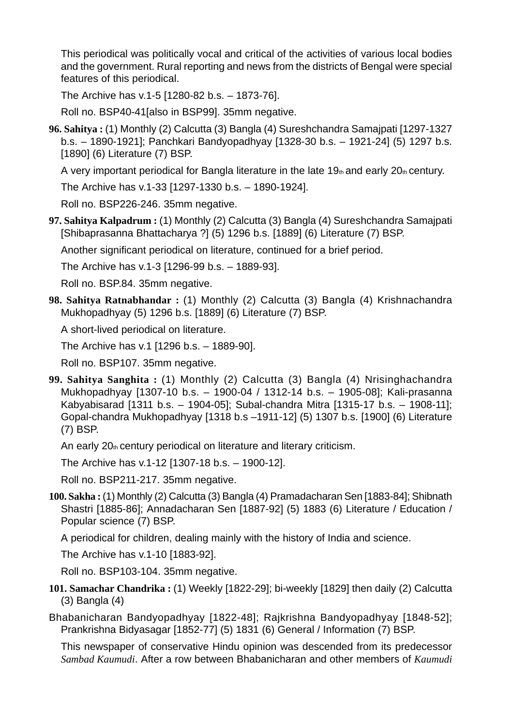This periodical was politically vocal and critical of the activities of various local bodies and the government. Rural reporting and news from the districts of Bengal were special features of this periodical.

The Archive has v.1-5 [1280-82 b.s. – 1873-76].

Roll no. BSP40-41[also in BSP99]. 35mm negative.

**96. Sahitya :** (1) Monthly (2) Calcutta (3) Bangla (4) Sureshchandra Samajpati [1297-1327 b.s. – 1890-1921]; Panchkari Bandyopadhyay [1328-30 b.s. – 1921-24] (5) 1297 b.s. [1890] (6) Literature (7) BSP.

A very important periodical for Bangla literature in the late  $19<sub>th</sub>$  and early  $20<sub>th</sub>$  century.

The Archive has v.1-33 [1297-1330 b.s. – 1890-1924].

Roll no. BSP226-246. 35mm negative.

**97. Sahitya Kalpadrum :** (1) Monthly (2) Calcutta (3) Bangla (4) Sureshchandra Samajpati [Shibaprasanna Bhattacharya ?] (5) 1296 b.s. [1889] (6) Literature (7) BSP.

Another significant periodical on literature, continued for a brief period.

The Archive has v.1-3 [1296-99 b.s. – 1889-93].

Roll no. BSP.84. 35mm negative.

**98. Sahitya Ratnabhandar :** (1) Monthly (2) Calcutta (3) Bangla (4) Krishnachandra Mukhopadhyay (5) 1296 b.s. [1889] (6) Literature (7) BSP.

A short-lived periodical on literature.

The Archive has v.1 [1296 b.s. – 1889-90].

Roll no. BSP107. 35mm negative.

**99. Sahitya Sanghita :** (1) Monthly (2) Calcutta (3) Bangla (4) Nrisinghachandra Mukhopadhyay [1307-10 b.s. – 1900-04 / 1312-14 b.s. – 1905-08]; Kali-prasanna Kabyabisarad [1311 b.s. – 1904-05]; Subal-chandra Mitra [1315-17 b.s. – 1908-11]; Gopal-chandra Mukhopadhyay [1318 b.s –1911-12] (5) 1307 b.s. [1900] (6) Literature (7) BSP.

An early 20th century periodical on literature and literary criticism.

The Archive has v.1-12 [1307-18 b.s. – 1900-12].

Roll no. BSP211-217. 35mm negative.

**100. Sakha :** (1) Monthly (2) Calcutta (3) Bangla (4) Pramadacharan Sen [1883-84]; Shibnath Shastri [1885-86]; Annadacharan Sen [1887-92] (5) 1883 (6) Literature / Education / Popular science (7) BSP.

A periodical for children, dealing mainly with the history of India and science.

The Archive has v.1-10 [1883-92].

Roll no. BSP103-104. 35mm negative.

**101. Samachar Chandrika :** (1) Weekly [1822-29]; bi-weekly [1829] then daily (2) Calcutta (3) Bangla (4)

Bhabanicharan Bandyopadhyay [1822-48]; Rajkrishna Bandyopadhyay [1848-52]; Prankrishna Bidyasagar [1852-77] (5) 1831 (6) General / Information (7) BSP.

This newspaper of conservative Hindu opinion was descended from its predecessor *Sambad Kaumudi*. After a row between Bhabanicharan and other members of *Kaumudi*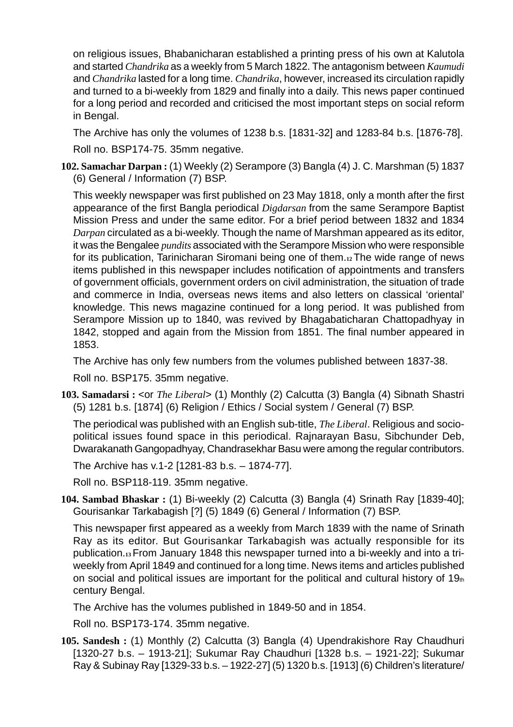on religious issues, Bhabanicharan established a printing press of his own at Kalutola and started *Chandrika* as a weekly from 5 March 1822. The antagonism between *Kaumudi* and *Chandrika* lasted for a long time. *Chandrika*, however, increased its circulation rapidly and turned to a bi-weekly from 1829 and finally into a daily. This news paper continued for a long period and recorded and criticised the most important steps on social reform in Bengal.

The Archive has only the volumes of 1238 b.s. [1831-32] and 1283-84 b.s. [1876-78].

Roll no. BSP174-75. 35mm negative.

**102. Samachar Darpan :** (1) Weekly (2) Serampore (3) Bangla (4) J. C. Marshman (5) 1837 (6) General / Information (7) BSP.

This weekly newspaper was first published on 23 May 1818, only a month after the first appearance of the first Bangla periodical *Digdarsan* from the same Serampore Baptist Mission Press and under the same editor. For a brief period between 1832 and 1834 *Darpan* circulated as a bi-weekly. Though the name of Marshman appeared as its editor, it was the Bengalee *pundits* associated with the Serampore Mission who were responsible for its publication, Tarinicharan Siromani being one of them.**12** The wide range of news items published in this newspaper includes notification of appointments and transfers of government officials, government orders on civil administration, the situation of trade and commerce in India, overseas news items and also letters on classical 'oriental' knowledge. This news magazine continued for a long period. It was published from Serampore Mission up to 1840, was revived by Bhagabaticharan Chattopadhyay in 1842, stopped and again from the Mission from 1851. The final number appeared in 1853.

The Archive has only few numbers from the volumes published between 1837-38.

Roll no. BSP175. 35mm negative.

**103. Samadarsi :** <or *The Liberal*> (1) Monthly (2) Calcutta (3) Bangla (4) Sibnath Shastri (5) 1281 b.s. [1874] (6) Religion / Ethics / Social system / General (7) BSP.

The periodical was published with an English sub-title, *The Liberal*. Religious and sociopolitical issues found space in this periodical. Rajnarayan Basu, Sibchunder Deb, Dwarakanath Gangopadhyay, Chandrasekhar Basu were among the regular contributors.

The Archive has v.1-2 [1281-83 b.s. – 1874-77].

Roll no. BSP118-119. 35mm negative.

**104. Sambad Bhaskar :** (1) Bi-weekly (2) Calcutta (3) Bangla (4) Srinath Ray [1839-40]; Gourisankar Tarkabagish [?] (5) 1849 (6) General / Information (7) BSP.

This newspaper first appeared as a weekly from March 1839 with the name of Srinath Ray as its editor. But Gourisankar Tarkabagish was actually responsible for its publication.**13** From January 1848 this newspaper turned into a bi-weekly and into a triweekly from April 1849 and continued for a long time. News items and articles published on social and political issues are important for the political and cultural history of  $19<sub>th</sub>$ century Bengal.

The Archive has the volumes published in 1849-50 and in 1854.

Roll no. BSP173-174. 35mm negative.

**105. Sandesh :** (1) Monthly (2) Calcutta (3) Bangla (4) Upendrakishore Ray Chaudhuri [1320-27 b.s. – 1913-21]; Sukumar Ray Chaudhuri [1328 b.s. – 1921-22]; Sukumar Ray & Subinay Ray [1329-33 b.s. – 1922-27] (5) 1320 b.s. [1913] (6) Children's literature/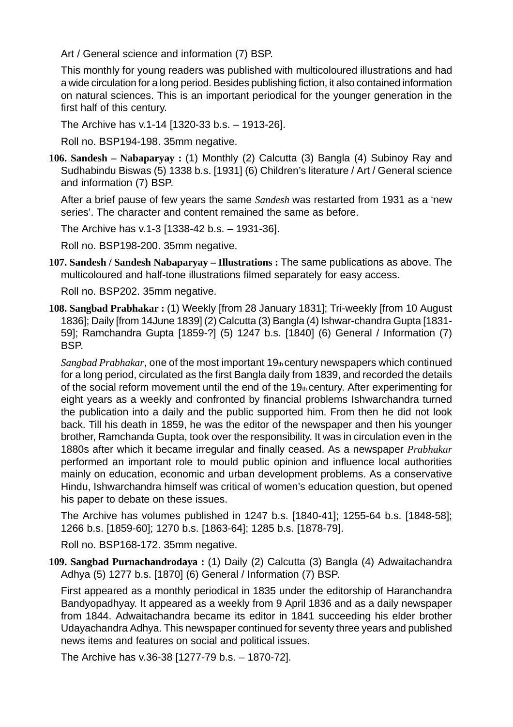Art / General science and information (7) BSP.

This monthly for young readers was published with multicoloured illustrations and had a wide circulation for a long period. Besides publishing fiction, it also contained information on natural sciences. This is an important periodical for the younger generation in the first half of this century.

The Archive has v.1-14 [1320-33 b.s. – 1913-26].

Roll no. BSP194-198. 35mm negative.

**106. Sandesh – Nabaparyay :** (1) Monthly (2) Calcutta (3) Bangla (4) Subinoy Ray and Sudhabindu Biswas (5) 1338 b.s. [1931] (6) Children's literature / Art / General science and information (7) BSP.

After a brief pause of few years the same *Sandesh* was restarted from 1931 as a 'new series'. The character and content remained the same as before.

The Archive has v.1-3 [1338-42 b.s. – 1931-36].

Roll no. BSP198-200. 35mm negative.

**107. Sandesh / Sandesh Nabaparyay – Illustrations :** The same publications as above. The multicoloured and half-tone illustrations filmed separately for easy access.

Roll no. BSP202. 35mm negative.

**108. Sangbad Prabhakar :** (1) Weekly [from 28 January 1831]; Tri-weekly [from 10 August 1836]; Daily [from 14June 1839] (2) Calcutta (3) Bangla (4) Ishwar-chandra Gupta [1831- 59]; Ramchandra Gupta [1859-?] (5) 1247 b.s. [1840] (6) General / Information (7) BSP.

*Sangbad Prabhakar*, one of the most important 19th century newspapers which continued for a long period, circulated as the first Bangla daily from 1839, and recorded the details of the social reform movement until the end of the 19th century. After experimenting for eight years as a weekly and confronted by financial problems Ishwarchandra turned the publication into a daily and the public supported him. From then he did not look back. Till his death in 1859, he was the editor of the newspaper and then his younger brother, Ramchanda Gupta, took over the responsibility. It was in circulation even in the 1880s after which it became irregular and finally ceased. As a newspaper *Prabhakar* performed an important role to mould public opinion and influence local authorities mainly on education, economic and urban development problems. As a conservative Hindu, Ishwarchandra himself was critical of women's education question, but opened his paper to debate on these issues.

The Archive has volumes published in 1247 b.s. [1840-41]; 1255-64 b.s. [1848-58]; 1266 b.s. [1859-60]; 1270 b.s. [1863-64]; 1285 b.s. [1878-79].

Roll no. BSP168-172. 35mm negative.

**109. Sangbad Purnachandrodaya :** (1) Daily (2) Calcutta (3) Bangla (4) Adwaitachandra Adhya (5) 1277 b.s. [1870] (6) General / Information (7) BSP.

First appeared as a monthly periodical in 1835 under the editorship of Haranchandra Bandyopadhyay. It appeared as a weekly from 9 April 1836 and as a daily newspaper from 1844. Adwaitachandra became its editor in 1841 succeeding his elder brother Udayachandra Adhya. This newspaper continued for seventy three years and published news items and features on social and political issues.

The Archive has v.36-38 [1277-79 b.s. – 1870-72].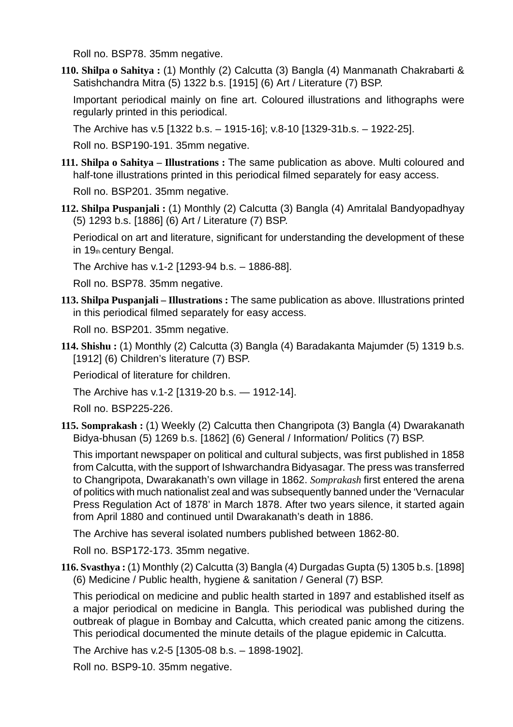Roll no. BSP78. 35mm negative.

**110. Shilpa o Sahitya :** (1) Monthly (2) Calcutta (3) Bangla (4) Manmanath Chakrabarti & Satishchandra Mitra (5) 1322 b.s. [1915] (6) Art / Literature (7) BSP.

Important periodical mainly on fine art. Coloured illustrations and lithographs were regularly printed in this periodical.

The Archive has v.5 [1322 b.s. – 1915-16]; v.8-10 [1329-31b.s. – 1922-25].

Roll no. BSP190-191. 35mm negative.

**111. Shilpa o Sahitya – Illustrations :** The same publication as above. Multi coloured and half-tone illustrations printed in this periodical filmed separately for easy access.

Roll no. BSP201. 35mm negative.

**112. Shilpa Puspanjali :** (1) Monthly (2) Calcutta (3) Bangla (4) Amritalal Bandyopadhyay (5) 1293 b.s. [1886] (6) Art / Literature (7) BSP.

Periodical on art and literature, significant for understanding the development of these in 19th century Bengal.

The Archive has v.1-2 [1293-94 b.s. – 1886-88].

Roll no. BSP78. 35mm negative.

**113. Shilpa Puspanjali – Illustrations :** The same publication as above. Illustrations printed in this periodical filmed separately for easy access.

Roll no. BSP201. 35mm negative.

**114. Shishu :** (1) Monthly (2) Calcutta (3) Bangla (4) Baradakanta Majumder (5) 1319 b.s. [1912] (6) Children's literature (7) BSP.

Periodical of literature for children.

The Archive has v.1-2 [1319-20 b.s. — 1912-14].

Roll no. BSP225-226.

**115. Somprakash :** (1) Weekly (2) Calcutta then Changripota (3) Bangla (4) Dwarakanath Bidya-bhusan (5) 1269 b.s. [1862] (6) General / Information/ Politics (7) BSP.

This important newspaper on political and cultural subjects, was first published in 1858 from Calcutta, with the support of Ishwarchandra Bidyasagar. The press was transferred to Changripota, Dwarakanath's own village in 1862. *Somprakash* first entered the arena of politics with much nationalist zeal and was subsequently banned under the 'Vernacular Press Regulation Act of 1878' in March 1878. After two years silence, it started again from April 1880 and continued until Dwarakanath's death in 1886.

The Archive has several isolated numbers published between 1862-80.

Roll no. BSP172-173. 35mm negative.

**116. Svasthya :** (1) Monthly (2) Calcutta (3) Bangla (4) Durgadas Gupta (5) 1305 b.s. [1898] (6) Medicine / Public health, hygiene & sanitation / General (7) BSP.

This periodical on medicine and public health started in 1897 and established itself as a major periodical on medicine in Bangla. This periodical was published during the outbreak of plague in Bombay and Calcutta, which created panic among the citizens. This periodical documented the minute details of the plague epidemic in Calcutta.

The Archive has v.2-5 [1305-08 b.s. – 1898-1902].

Roll no. BSP9-10. 35mm negative.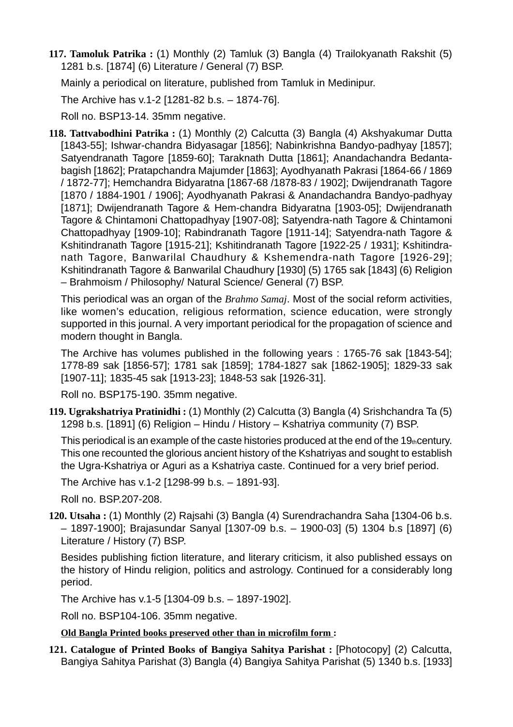**117. Tamoluk Patrika :** (1) Monthly (2) Tamluk (3) Bangla (4) Trailokyanath Rakshit (5) 1281 b.s. [1874] (6) Literature / General (7) BSP.

Mainly a periodical on literature, published from Tamluk in Medinipur.

The Archive has v.1-2 [1281-82 b.s. – 1874-76].

Roll no. BSP13-14. 35mm negative.

**118. Tattvabodhini Patrika :** (1) Monthly (2) Calcutta (3) Bangla (4) Akshyakumar Dutta [1843-55]; Ishwar-chandra Bidyasagar [1856]; Nabinkrishna Bandyo-padhyay [1857]; Satyendranath Tagore [1859-60]; Taraknath Dutta [1861]; Anandachandra Bedantabagish [1862]; Pratapchandra Majumder [1863]; Ayodhyanath Pakrasi [1864-66 / 1869 / 1872-77]; Hemchandra Bidyaratna [1867-68 /1878-83 / 1902]; Dwijendranath Tagore [1870 / 1884-1901 / 1906]; Ayodhyanath Pakrasi & Anandachandra Bandyo-padhyay [1871]; Dwijendranath Tagore & Hem-chandra Bidyaratna [1903-05]; Dwijendranath Tagore & Chintamoni Chattopadhyay [1907-08]; Satyendra-nath Tagore & Chintamoni Chattopadhyay [1909-10]; Rabindranath Tagore [1911-14]; Satyendra-nath Tagore & Kshitindranath Tagore [1915-21]; Kshitindranath Tagore [1922-25 / 1931]; Kshitindranath Tagore, Banwarilal Chaudhury & Kshemendra-nath Tagore [1926-29]; Kshitindranath Tagore & Banwarilal Chaudhury [1930] (5) 1765 sak [1843] (6) Religion – Brahmoism / Philosophy/ Natural Science/ General (7) BSP.

This periodical was an organ of the *Brahmo Samaj*. Most of the social reform activities, like women's education, religious reformation, science education, were strongly supported in this journal. A very important periodical for the propagation of science and modern thought in Bangla.

The Archive has volumes published in the following years : 1765-76 sak [1843-54]; 1778-89 sak [1856-57]; 1781 sak [1859]; 1784-1827 sak [1862-1905]; 1829-33 sak [1907-11]; 1835-45 sak [1913-23]; 1848-53 sak [1926-31].

Roll no. BSP175-190. 35mm negative.

**119. Ugrakshatriya Pratinidhi :** (1) Monthly (2) Calcutta (3) Bangla (4) Srishchandra Ta (5) 1298 b.s. [1891] (6) Religion – Hindu / History – Kshatriya community (7) BSP.

This periodical is an example of the caste histories produced at the end of the 19 $_{th}$ century. This one recounted the glorious ancient history of the Kshatriyas and sought to establish the Ugra-Kshatriya or Aguri as a Kshatriya caste. Continued for a very brief period.

The Archive has v.1-2 [1298-99 b.s. – 1891-93].

Roll no. BSP.207-208.

**120. Utsaha :** (1) Monthly (2) Rajsahi (3) Bangla (4) Surendrachandra Saha [1304-06 b.s. – 1897-1900]; Brajasundar Sanyal [1307-09 b.s. – 1900-03] (5) 1304 b.s [1897] (6) Literature / History (7) BSP.

Besides publishing fiction literature, and literary criticism, it also published essays on the history of Hindu religion, politics and astrology. Continued for a considerably long period.

The Archive has v.1-5 [1304-09 b.s. – 1897-1902].

Roll no. BSP104-106. 35mm negative.

#### **Old Bangla Printed books preserved other than in microfilm form :**

**121. Catalogue of Printed Books of Bangiya Sahitya Parishat :** [Photocopy] (2) Calcutta, Bangiya Sahitya Parishat (3) Bangla (4) Bangiya Sahitya Parishat (5) 1340 b.s. [1933]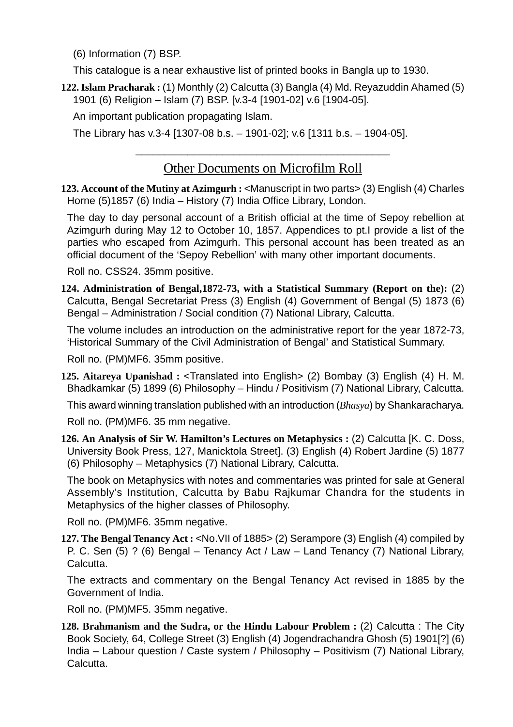(6) Information (7) BSP.

This catalogue is a near exhaustive list of printed books in Bangla up to 1930.

**122. Islam Pracharak :** (1) Monthly (2) Calcutta (3) Bangla (4) Md. Reyazuddin Ahamed (5) 1901 (6) Religion – Islam (7) BSP. [v.3-4 [1901-02] v.6 [1904-05].

An important publication propagating Islam.

The Library has v.3-4 [1307-08 b.s. – 1901-02]; v.6 [1311 b.s. – 1904-05].

### Other Documents on Microfilm Roll

\_\_\_\_\_\_\_\_\_\_\_\_\_\_\_\_\_\_\_\_\_\_\_\_\_\_\_\_\_\_\_\_\_\_\_\_\_\_\_\_\_\_\_\_

**123. Account of the Mutiny at Azimgurh :** <Manuscript in two parts> (3) English (4) Charles Horne (5)1857 (6) India – History (7) India Office Library, London.

The day to day personal account of a British official at the time of Sepoy rebellion at Azimgurh during May 12 to October 10, 1857. Appendices to pt.I provide a list of the parties who escaped from Azimgurh. This personal account has been treated as an official document of the 'Sepoy Rebellion' with many other important documents.

Roll no. CSS24. 35mm positive.

**124. Administration of Bengal,1872-73, with a Statistical Summary (Report on the):** (2) Calcutta, Bengal Secretariat Press (3) English (4) Government of Bengal (5) 1873 (6) Bengal – Administration / Social condition (7) National Library, Calcutta.

The volume includes an introduction on the administrative report for the year 1872-73, 'Historical Summary of the Civil Administration of Bengal' and Statistical Summary.

Roll no. (PM)MF6. 35mm positive.

**125. Aitareya Upanishad :** <Translated into English> (2) Bombay (3) English (4) H. M. Bhadkamkar (5) 1899 (6) Philosophy – Hindu / Positivism (7) National Library, Calcutta.

This award winning translation published with an introduction (*Bhasya*) by Shankaracharya.

Roll no. (PM)MF6. 35 mm negative.

**126. An Analysis of Sir W. Hamilton's Lectures on Metaphysics :** (2) Calcutta [K. C. Doss, University Book Press, 127, Manicktola Street]. (3) English (4) Robert Jardine (5) 1877 (6) Philosophy – Metaphysics (7) National Library, Calcutta.

The book on Metaphysics with notes and commentaries was printed for sale at General Assembly's Institution, Calcutta by Babu Rajkumar Chandra for the students in Metaphysics of the higher classes of Philosophy.

Roll no. (PM)MF6. 35mm negative.

**127. The Bengal Tenancy Act :** <No.VII of 1885> (2) Serampore (3) English (4) compiled by P. C. Sen (5) ? (6) Bengal – Tenancy Act / Law – Land Tenancy (7) National Library, Calcutta.

The extracts and commentary on the Bengal Tenancy Act revised in 1885 by the Government of India.

Roll no. (PM)MF5. 35mm negative.

**128. Brahmanism and the Sudra, or the Hindu Labour Problem : (2) Calcutta : The City** Book Society, 64, College Street (3) English (4) Jogendrachandra Ghosh (5) 1901[?] (6) India – Labour question / Caste system / Philosophy – Positivism (7) National Library, Calcutta.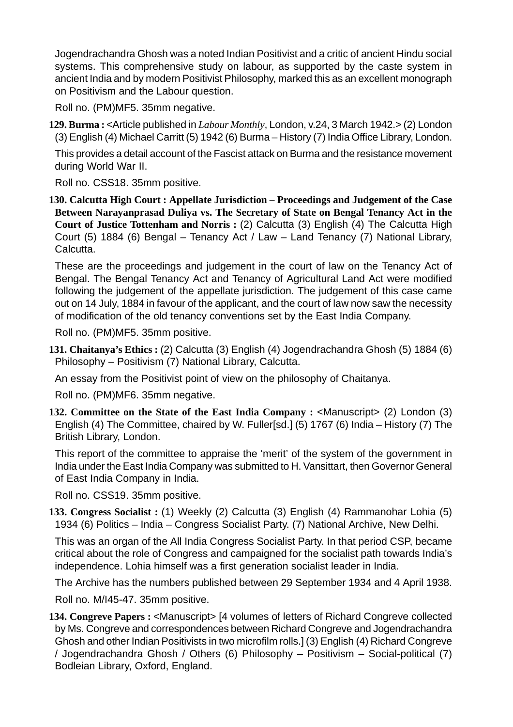Jogendrachandra Ghosh was a noted Indian Positivist and a critic of ancient Hindu social systems. This comprehensive study on labour, as supported by the caste system in ancient India and by modern Positivist Philosophy, marked this as an excellent monograph on Positivism and the Labour question.

Roll no. (PM)MF5. 35mm negative.

**129. Burma :** <Article published in *Labour Monthly*, London, v.24, 3 March 1942.> (2) London (3) English (4) Michael Carritt (5) 1942 (6) Burma – History (7) India Office Library, London.

This provides a detail account of the Fascist attack on Burma and the resistance movement during World War II.

Roll no. CSS18. 35mm positive.

**130. Calcutta High Court : Appellate Jurisdiction – Proceedings and Judgement of the Case Between Narayanprasad Duliya vs. The Secretary of State on Bengal Tenancy Act in the Court of Justice Tottenham and Norris :** (2) Calcutta (3) English (4) The Calcutta High Court (5) 1884 (6) Bengal – Tenancy Act / Law – Land Tenancy (7) National Library, Calcutta.

These are the proceedings and judgement in the court of law on the Tenancy Act of Bengal. The Bengal Tenancy Act and Tenancy of Agricultural Land Act were modified following the judgement of the appellate jurisdiction. The judgement of this case came out on 14 July, 1884 in favour of the applicant, and the court of law now saw the necessity of modification of the old tenancy conventions set by the East India Company.

Roll no. (PM)MF5. 35mm positive.

**131. Chaitanya's Ethics :** (2) Calcutta (3) English (4) Jogendrachandra Ghosh (5) 1884 (6) Philosophy – Positivism (7) National Library, Calcutta.

An essay from the Positivist point of view on the philosophy of Chaitanya.

Roll no. (PM)MF6. 35mm negative.

**132. Committee on the State of the East India Company : <Manuscript> (2) London (3)** English (4) The Committee, chaired by W. Fuller[sd.] (5) 1767 (6) India – History (7) The British Library, London.

This report of the committee to appraise the 'merit' of the system of the government in India under the East India Company was submitted to H. Vansittart, then Governor General of East India Company in India.

Roll no. CSS19. 35mm positive.

**133. Congress Socialist :** (1) Weekly (2) Calcutta (3) English (4) Rammanohar Lohia (5) 1934 (6) Politics – India – Congress Socialist Party. (7) National Archive, New Delhi.

This was an organ of the All India Congress Socialist Party. In that period CSP, became critical about the role of Congress and campaigned for the socialist path towards India's independence. Lohia himself was a first generation socialist leader in India.

The Archive has the numbers published between 29 September 1934 and 4 April 1938.

Roll no. M/I45-47. 35mm positive.

134. Congreve Papers : <Manuscript> [4 volumes of letters of Richard Congreve collected by Ms. Congreve and correspondences between Richard Congreve and Jogendrachandra Ghosh and other Indian Positivists in two microfilm rolls.] (3) English (4) Richard Congreve / Jogendrachandra Ghosh / Others (6) Philosophy – Positivism – Social-political (7) Bodleian Library, Oxford, England.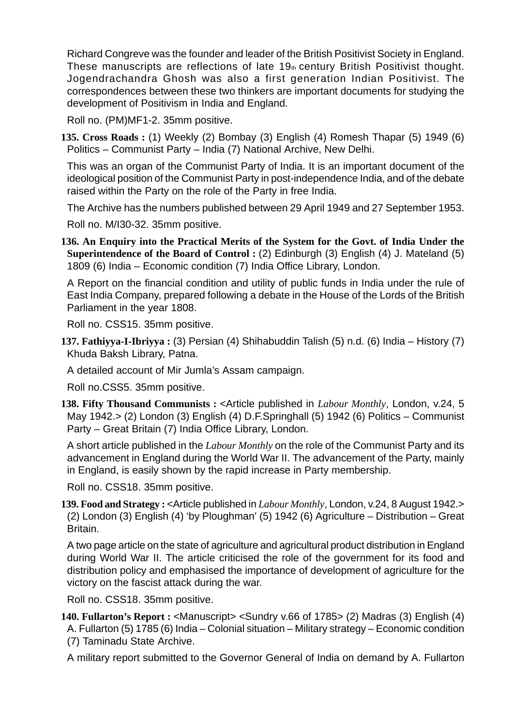Richard Congreve was the founder and leader of the British Positivist Society in England. These manuscripts are reflections of late 19th century British Positivist thought. Jogendrachandra Ghosh was also a first generation Indian Positivist. The correspondences between these two thinkers are important documents for studying the development of Positivism in India and England.

Roll no. (PM)MF1-2. 35mm positive.

**135. Cross Roads :** (1) Weekly (2) Bombay (3) English (4) Romesh Thapar (5) 1949 (6) Politics – Communist Party – India (7) National Archive, New Delhi.

This was an organ of the Communist Party of India. It is an important document of the ideological position of the Communist Party in post-independence India, and of the debate raised within the Party on the role of the Party in free India.

The Archive has the numbers published between 29 April 1949 and 27 September 1953.

Roll no. M/I30-32. 35mm positive.

**136. An Enquiry into the Practical Merits of the System for the Govt. of India Under the Superintendence of the Board of Control :** (2) Edinburgh (3) English (4) J. Mateland (5) 1809 (6) India – Economic condition (7) India Office Library, London.

A Report on the financial condition and utility of public funds in India under the rule of East India Company, prepared following a debate in the House of the Lords of the British Parliament in the year 1808.

Roll no. CSS15. 35mm positive.

**137. Fathiyya-I-Ibriyya :** (3) Persian (4) Shihabuddin Talish (5) n.d. (6) India – History (7) Khuda Baksh Library, Patna.

A detailed account of Mir Jumla's Assam campaign.

Roll no.CSS5. 35mm positive.

**138. Fifty Thousand Communists :** <Article published in *Labour Monthly*, London, v.24, 5 May 1942.> (2) London (3) English (4) D.F.Springhall (5) 1942 (6) Politics – Communist Party – Great Britain (7) India Office Library, London.

A short article published in the *Labour Monthly* on the role of the Communist Party and its advancement in England during the World War II. The advancement of the Party, mainly in England, is easily shown by the rapid increase in Party membership.

Roll no. CSS18. 35mm positive.

**139. Food and Strategy :** <Article published in *Labour Monthly*, London, v.24, 8 August 1942.> (2) London (3) English (4) 'by Ploughman' (5) 1942 (6) Agriculture – Distribution – Great Britain.

A two page article on the state of agriculture and agricultural product distribution in England during World War II. The article criticised the role of the government for its food and distribution policy and emphasised the importance of development of agriculture for the victory on the fascist attack during the war.

Roll no. CSS18. 35mm positive.

**140. Fullarton's Report :** <Manuscript> <Sundry v.66 of 1785> (2) Madras (3) English (4) A. Fullarton (5) 1785 (6) India – Colonial situation – Military strategy – Economic condition (7) Taminadu State Archive.

A military report submitted to the Governor General of India on demand by A. Fullarton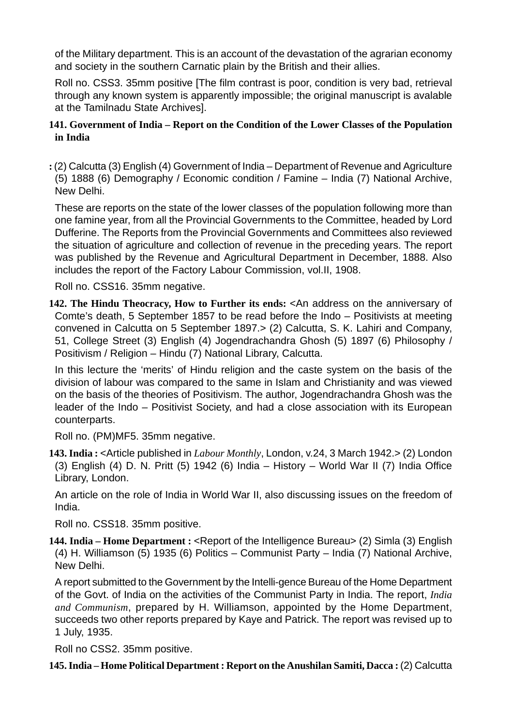of the Military department. This is an account of the devastation of the agrarian economy and society in the southern Carnatic plain by the British and their allies.

Roll no. CSS3. 35mm positive [The film contrast is poor, condition is very bad, retrieval through any known system is apparently impossible; the original manuscript is avalable at the Tamilnadu State Archives].

### **141. Government of India – Report on the Condition of the Lower Classes of the Population in India**

**:** (2) Calcutta (3) English (4) Government of India – Department of Revenue and Agriculture (5) 1888 (6) Demography / Economic condition / Famine – India (7) National Archive, New Delhi.

These are reports on the state of the lower classes of the population following more than one famine year, from all the Provincial Governments to the Committee, headed by Lord Dufferine. The Reports from the Provincial Governments and Committees also reviewed the situation of agriculture and collection of revenue in the preceding years. The report was published by the Revenue and Agricultural Department in December, 1888. Also includes the report of the Factory Labour Commission, vol.II, 1908.

Roll no. CSS16. 35mm negative.

**142. The Hindu Theocracy, How to Further its ends:** <An address on the anniversary of Comte's death, 5 September 1857 to be read before the Indo – Positivists at meeting convened in Calcutta on 5 September 1897.> (2) Calcutta, S. K. Lahiri and Company, 51, College Street (3) English (4) Jogendrachandra Ghosh (5) 1897 (6) Philosophy / Positivism / Religion – Hindu (7) National Library, Calcutta.

In this lecture the 'merits' of Hindu religion and the caste system on the basis of the division of labour was compared to the same in Islam and Christianity and was viewed on the basis of the theories of Positivism. The author, Jogendrachandra Ghosh was the leader of the Indo – Positivist Society, and had a close association with its European counterparts.

Roll no. (PM)MF5. 35mm negative.

**143. India :** <Article published in *Labour Monthly*, London, v.24, 3 March 1942.> (2) London (3) English (4) D. N. Pritt (5) 1942 (6) India – History – World War II (7) India Office Library, London.

An article on the role of India in World War II, also discussing issues on the freedom of India.

Roll no. CSS18. 35mm positive.

**144. India – Home Department :** <Report of the Intelligence Bureau> (2) Simla (3) English (4) H. Williamson (5) 1935 (6) Politics – Communist Party – India (7) National Archive, New Delhi.

A report submitted to the Government by the Intelli-gence Bureau of the Home Department of the Govt. of India on the activities of the Communist Party in India. The report, *India and Communism*, prepared by H. Williamson, appointed by the Home Department, succeeds two other reports prepared by Kaye and Patrick. The report was revised up to 1 July, 1935.

Roll no CSS2. 35mm positive.

**145. India – Home Political Department : Report on the Anushilan Samiti, Dacca : (2) Calcutta**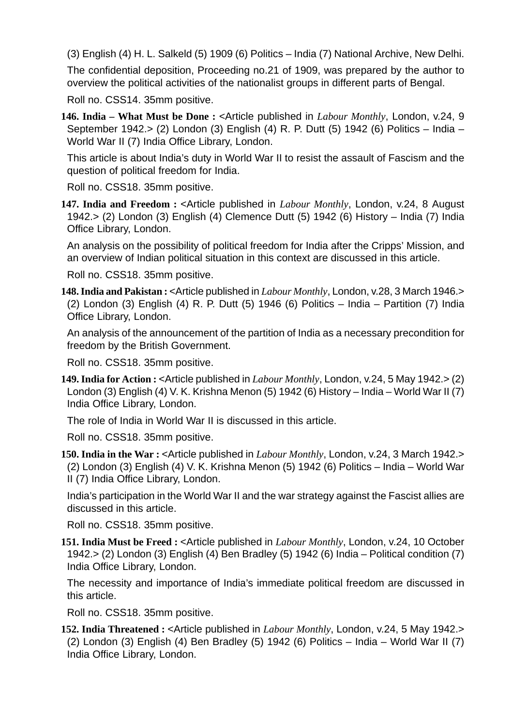(3) English (4) H. L. Salkeld (5) 1909 (6) Politics – India (7) National Archive, New Delhi. The confidential deposition, Proceeding no.21 of 1909, was prepared by the author to overview the political activities of the nationalist groups in different parts of Bengal.

Roll no. CSS14. 35mm positive.

**146. India – What Must be Done :** <Article published in *Labour Monthly*, London, v.24, 9 September 1942.> (2) London (3) English (4) R. P. Dutt (5) 1942 (6) Politics – India – World War II (7) India Office Library, London.

This article is about India's duty in World War II to resist the assault of Fascism and the question of political freedom for India.

Roll no. CSS18. 35mm positive.

**147. India and Freedom :** <Article published in *Labour Monthly*, London, v.24, 8 August 1942.> (2) London (3) English (4) Clemence Dutt (5) 1942 (6) History – India (7) India Office Library, London.

An analysis on the possibility of political freedom for India after the Cripps' Mission, and an overview of Indian political situation in this context are discussed in this article.

Roll no. CSS18. 35mm positive.

**148. India and Pakistan :** <Article published in *Labour Monthly*, London, v.28, 3 March 1946.> (2) London (3) English (4) R. P. Dutt (5) 1946 (6) Politics – India – Partition (7) India Office Library, London.

An analysis of the announcement of the partition of India as a necessary precondition for freedom by the British Government.

Roll no. CSS18. 35mm positive.

**149. India for Action :** <Article published in *Labour Monthly*, London, v.24, 5 May 1942.> (2) London (3) English (4) V. K. Krishna Menon (5) 1942 (6) History – India – World War II (7) India Office Library, London.

The role of India in World War II is discussed in this article.

Roll no. CSS18. 35mm positive.

**150. India in the War :** <Article published in *Labour Monthly*, London, v.24, 3 March 1942.> (2) London (3) English (4) V. K. Krishna Menon (5) 1942 (6) Politics – India – World War II (7) India Office Library, London.

India's participation in the World War II and the war strategy against the Fascist allies are discussed in this article.

Roll no. CSS18. 35mm positive.

**151. India Must be Freed :** <Article published in *Labour Monthly*, London, v.24, 10 October 1942.> (2) London (3) English (4) Ben Bradley (5) 1942 (6) India – Political condition (7) India Office Library, London.

The necessity and importance of India's immediate political freedom are discussed in this article.

Roll no. CSS18. 35mm positive.

**152. India Threatened :** <Article published in *Labour Monthly*, London, v.24, 5 May 1942.> (2) London (3) English (4) Ben Bradley (5) 1942 (6) Politics – India – World War II (7) India Office Library, London.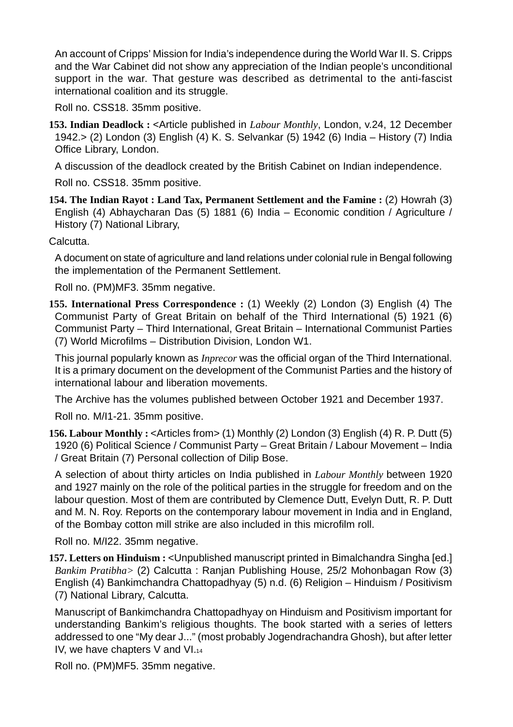An account of Cripps' Mission for India's independence during the World War II. S. Cripps and the War Cabinet did not show any appreciation of the Indian people's unconditional support in the war. That gesture was described as detrimental to the anti-fascist international coalition and its struggle.

Roll no. CSS18. 35mm positive.

**153. Indian Deadlock :** <Article published in *Labour Monthly*, London, v.24, 12 December 1942.> (2) London (3) English (4) K. S. Selvankar (5) 1942 (6) India – History (7) India Office Library, London.

A discussion of the deadlock created by the British Cabinet on Indian independence.

Roll no. CSS18. 35mm positive.

**154. The Indian Rayot : Land Tax, Permanent Settlement and the Famine :** (2) Howrah (3) English (4) Abhaycharan Das (5) 1881 (6) India – Economic condition / Agriculture / History (7) National Library,

Calcutta.

A document on state of agriculture and land relations under colonial rule in Bengal following the implementation of the Permanent Settlement.

Roll no. (PM)MF3. 35mm negative.

**155. International Press Correspondence :** (1) Weekly (2) London (3) English (4) The Communist Party of Great Britain on behalf of the Third International (5) 1921 (6) Communist Party – Third International, Great Britain – International Communist Parties (7) World Microfilms – Distribution Division, London W1.

This journal popularly known as *Inprecor* was the official organ of the Third International. It is a primary document on the development of the Communist Parties and the history of international labour and liberation movements.

The Archive has the volumes published between October 1921 and December 1937.

Roll no. M/I1-21. 35mm positive.

**156. Labour Monthly :** <Articles from> (1) Monthly (2) London (3) English (4) R. P. Dutt (5) 1920 (6) Political Science / Communist Party – Great Britain / Labour Movement – India / Great Britain (7) Personal collection of Dilip Bose.

A selection of about thirty articles on India published in *Labour Monthly* between 1920 and 1927 mainly on the role of the political parties in the struggle for freedom and on the labour question. Most of them are contributed by Clemence Dutt, Evelyn Dutt, R. P. Dutt and M. N. Roy. Reports on the contemporary labour movement in India and in England, of the Bombay cotton mill strike are also included in this microfilm roll.

Roll no. M/I22. 35mm negative.

**157. Letters on Hinduism :** <Unpublished manuscript printed in Bimalchandra Singha [ed.] *Bankim Pratibha>* (2) Calcutta : Ranjan Publishing House, 25/2 Mohonbagan Row (3) English (4) Bankimchandra Chattopadhyay (5) n.d. (6) Religion – Hinduism / Positivism (7) National Library, Calcutta.

Manuscript of Bankimchandra Chattopadhyay on Hinduism and Positivism important for understanding Bankim's religious thoughts. The book started with a series of letters addressed to one "My dear J..." (most probably Jogendrachandra Ghosh), but after letter IV, we have chapters V and VI.14

Roll no. (PM)MF5. 35mm negative.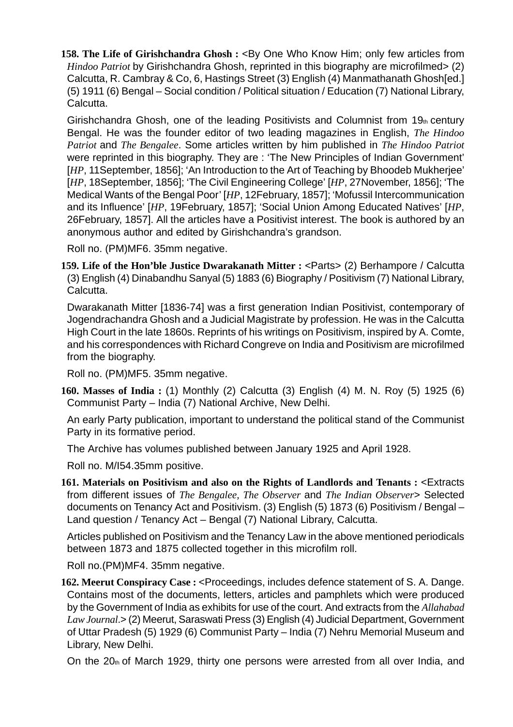**158. The Life of Girishchandra Ghosh : <By One Who Know Him; only few articles from** *Hindoo Patriot* by Girishchandra Ghosh, reprinted in this biography are microfilmed> (2) Calcutta, R. Cambray & Co, 6, Hastings Street (3) English (4) Manmathanath Ghosh[ed.] (5) 1911 (6) Bengal – Social condition / Political situation / Education (7) National Library, Calcutta.

Girishchandra Ghosh, one of the leading Positivists and Columnist from  $19<sub>th</sub>$  century Bengal. He was the founder editor of two leading magazines in English, *The Hindoo Patriot* and *The Bengalee*. Some articles written by him published in *The Hindoo Patriot* were reprinted in this biography. They are : 'The New Principles of Indian Government' [*HP*, 11 September, 1856]; 'An Introduction to the Art of Teaching by Bhoodeb Mukherjee' [*HP*, 18September, 1856]; 'The Civil Engineering College' [*HP*, 27November, 1856]; 'The Medical Wants of the Bengal Poor' [*HP*, 12February, 1857]; 'Mofussil Intercommunication and its Influence' [*HP*, 19February, 1857]; 'Social Union Among Educated Natives' [*HP*, 26February, 1857]. All the articles have a Positivist interest. The book is authored by an anonymous author and edited by Girishchandra's grandson.

Roll no. (PM)MF6. 35mm negative.

**159. Life of the Hon'ble Justice Dwarakanath Mitter :** <Parts> (2) Berhampore / Calcutta (3) English (4) Dinabandhu Sanyal (5) 1883 (6) Biography / Positivism (7) National Library, Calcutta.

Dwarakanath Mitter [1836-74] was a first generation Indian Positivist, contemporary of Jogendrachandra Ghosh and a Judicial Magistrate by profession. He was in the Calcutta High Court in the late 1860s. Reprints of his writings on Positivism, inspired by A. Comte, and his correspondences with Richard Congreve on India and Positivism are microfilmed from the biography.

Roll no. (PM)MF5. 35mm negative.

**160. Masses of India :** (1) Monthly (2) Calcutta (3) English (4) M. N. Roy (5) 1925 (6) Communist Party – India (7) National Archive, New Delhi.

An early Party publication, important to understand the political stand of the Communist Party in its formative period.

The Archive has volumes published between January 1925 and April 1928.

Roll no. M/I54.35mm positive.

**161. Materials on Positivism and also on the Rights of Landlords and Tenants :** <Extracts from different issues of *The Bengalee, The Observer* and *The Indian Observer*> Selected documents on Tenancy Act and Positivism. (3) English (5) 1873 (6) Positivism / Bengal – Land question / Tenancy Act – Bengal (7) National Library, Calcutta.

Articles published on Positivism and the Tenancy Law in the above mentioned periodicals between 1873 and 1875 collected together in this microfilm roll.

Roll no.(PM)MF4. 35mm negative.

**162. Meerut Conspiracy Case :** <Proceedings, includes defence statement of S. A. Dange. Contains most of the documents, letters, articles and pamphlets which were produced by the Government of India as exhibits for use of the court. And extracts from the *Allahabad Law Journal*.> (2) Meerut, Saraswati Press (3) English (4) Judicial Department, Government of Uttar Pradesh (5) 1929 (6) Communist Party – India (7) Nehru Memorial Museum and Library, New Delhi.

On the  $20<sub>th</sub>$  of March 1929, thirty one persons were arrested from all over India, and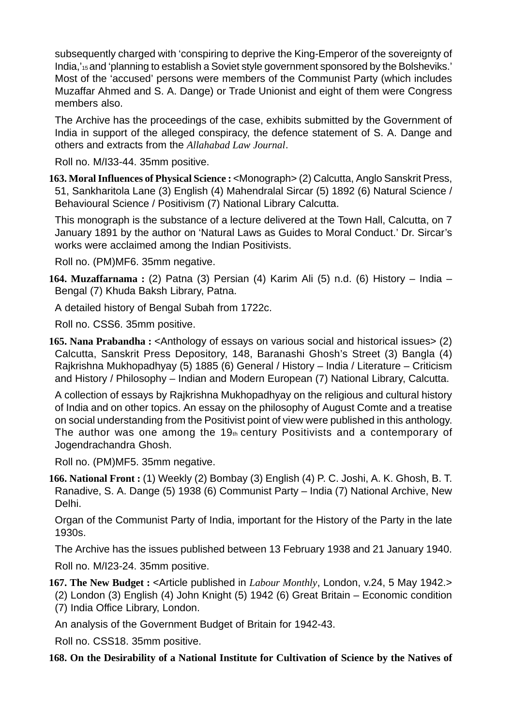subsequently charged with 'conspiring to deprive the King-Emperor of the sovereignty of India,'15 and 'planning to establish a Soviet style government sponsored by the Bolsheviks.' Most of the 'accused' persons were members of the Communist Party (which includes Muzaffar Ahmed and S. A. Dange) or Trade Unionist and eight of them were Congress members also.

The Archive has the proceedings of the case, exhibits submitted by the Government of India in support of the alleged conspiracy, the defence statement of S. A. Dange and others and extracts from the *Allahabad Law Journal*.

Roll no. M/I33-44. 35mm positive.

**163. Moral Influences of Physical Science :** <Monograph> (2) Calcutta, Anglo Sanskrit Press, 51, Sankharitola Lane (3) English (4) Mahendralal Sircar (5) 1892 (6) Natural Science / Behavioural Science / Positivism (7) National Library Calcutta.

This monograph is the substance of a lecture delivered at the Town Hall, Calcutta, on 7 January 1891 by the author on 'Natural Laws as Guides to Moral Conduct.' Dr. Sircar's works were acclaimed among the Indian Positivists.

Roll no. (PM)MF6. 35mm negative.

**164. Muzaffarnama :** (2) Patna (3) Persian (4) Karim Ali (5) n.d. (6) History – India – Bengal (7) Khuda Baksh Library, Patna.

A detailed history of Bengal Subah from 1722c.

Roll no. CSS6. 35mm positive.

**165. Nana Prabandha :** <Anthology of essays on various social and historical issues> (2) Calcutta, Sanskrit Press Depository, 148, Baranashi Ghosh's Street (3) Bangla (4) Rajkrishna Mukhopadhyay (5) 1885 (6) General / History – India / Literature – Criticism and History / Philosophy – Indian and Modern European (7) National Library, Calcutta.

A collection of essays by Rajkrishna Mukhopadhyay on the religious and cultural history of India and on other topics. An essay on the philosophy of August Comte and a treatise on social understanding from the Positivist point of view were published in this anthology. The author was one among the  $19<sub>th</sub>$  century Positivists and a contemporary of Jogendrachandra Ghosh.

Roll no. (PM)MF5. 35mm negative.

**166. National Front :** (1) Weekly (2) Bombay (3) English (4) P. C. Joshi, A. K. Ghosh, B. T. Ranadive, S. A. Dange (5) 1938 (6) Communist Party – India (7) National Archive, New Delhi.

Organ of the Communist Party of India, important for the History of the Party in the late 1930s.

The Archive has the issues published between 13 February 1938 and 21 January 1940.

Roll no. M/I23-24. 35mm positive.

**167. The New Budget :** <Article published in *Labour Monthly*, London, v.24, 5 May 1942.>

(2) London (3) English (4) John Knight (5) 1942 (6) Great Britain – Economic condition

(7) India Office Library, London.

An analysis of the Government Budget of Britain for 1942-43.

Roll no. CSS18. 35mm positive.

**168. On the Desirability of a National Institute for Cultivation of Science by the Natives of**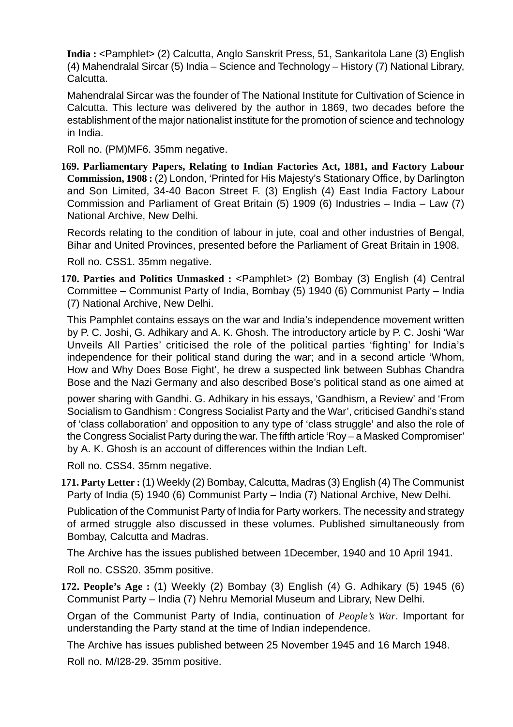**India :** <Pamphlet> (2) Calcutta, Anglo Sanskrit Press, 51, Sankaritola Lane (3) English (4) Mahendralal Sircar (5) India – Science and Technology – History (7) National Library, Calcutta.

Mahendralal Sircar was the founder of The National Institute for Cultivation of Science in Calcutta. This lecture was delivered by the author in 1869, two decades before the establishment of the major nationalist institute for the promotion of science and technology in India.

Roll no. (PM)MF6. 35mm negative.

**169. Parliamentary Papers, Relating to Indian Factories Act, 1881, and Factory Labour Commission, 1908 :** (2) London, 'Printed for His Majesty's Stationary Office, by Darlington and Son Limited, 34-40 Bacon Street F. (3) English (4) East India Factory Labour Commission and Parliament of Great Britain (5) 1909 (6) Industries – India – Law (7) National Archive, New Delhi.

Records relating to the condition of labour in jute, coal and other industries of Bengal, Bihar and United Provinces, presented before the Parliament of Great Britain in 1908.

Roll no. CSS1. 35mm negative.

**170. Parties and Politics Unmasked :** <Pamphlet> (2) Bombay (3) English (4) Central Committee – Communist Party of India, Bombay (5) 1940 (6) Communist Party – India (7) National Archive, New Delhi.

This Pamphlet contains essays on the war and India's independence movement written by P. C. Joshi, G. Adhikary and A. K. Ghosh. The introductory article by P. C. Joshi 'War Unveils All Parties' criticised the role of the political parties 'fighting' for India's independence for their political stand during the war; and in a second article 'Whom, How and Why Does Bose Fight', he drew a suspected link between Subhas Chandra Bose and the Nazi Germany and also described Bose's political stand as one aimed at

power sharing with Gandhi. G. Adhikary in his essays, 'Gandhism, a Review' and 'From Socialism to Gandhism : Congress Socialist Party and the War', criticised Gandhi's stand of 'class collaboration' and opposition to any type of 'class struggle' and also the role of the Congress Socialist Party during the war. The fifth article 'Roy – a Masked Compromiser' by A. K. Ghosh is an account of differences within the Indian Left.

Roll no. CSS4. 35mm negative.

**171. Party Letter :** (1) Weekly (2) Bombay, Calcutta, Madras (3) English (4) The Communist Party of India (5) 1940 (6) Communist Party – India (7) National Archive, New Delhi.

Publication of the Communist Party of India for Party workers. The necessity and strategy of armed struggle also discussed in these volumes. Published simultaneously from Bombay, Calcutta and Madras.

The Archive has the issues published between 1December, 1940 and 10 April 1941.

Roll no. CSS20. 35mm positive.

**172. People's Age :** (1) Weekly (2) Bombay (3) English (4) G. Adhikary (5) 1945 (6) Communist Party – India (7) Nehru Memorial Museum and Library, New Delhi.

Organ of the Communist Party of India, continuation of *People's War*. Important for understanding the Party stand at the time of Indian independence.

The Archive has issues published between 25 November 1945 and 16 March 1948.

Roll no. M/I28-29. 35mm positive.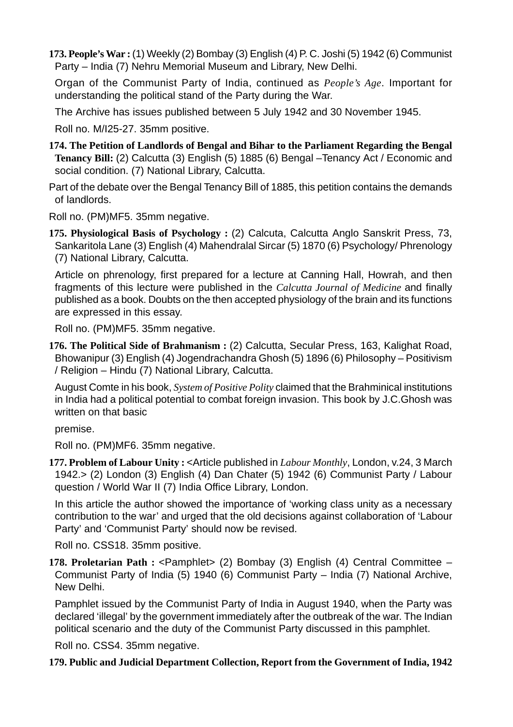**173. People's War :** (1) Weekly (2) Bombay (3) English (4) P. C. Joshi (5) 1942 (6) Communist Party – India (7) Nehru Memorial Museum and Library, New Delhi.

Organ of the Communist Party of India, continued as *People's Age*. Important for understanding the political stand of the Party during the War.

The Archive has issues published between 5 July 1942 and 30 November 1945.

Roll no. M/I25-27. 35mm positive.

- **174. The Petition of Landlords of Bengal and Bihar to the Parliament Regarding the Bengal Tenancy Bill:** (2) Calcutta (3) English (5) 1885 (6) Bengal –Tenancy Act / Economic and social condition. (7) National Library, Calcutta.
- Part of the debate over the Bengal Tenancy Bill of 1885, this petition contains the demands of landlords.

Roll no. (PM)MF5. 35mm negative.

**175. Physiological Basis of Psychology :** (2) Calcuta, Calcutta Anglo Sanskrit Press, 73, Sankaritola Lane (3) English (4) Mahendralal Sircar (5) 1870 (6) Psychology/ Phrenology (7) National Library, Calcutta.

Article on phrenology, first prepared for a lecture at Canning Hall, Howrah, and then fragments of this lecture were published in the *Calcutta Journal of Medicine* and finally published as a book. Doubts on the then accepted physiology of the brain and its functions are expressed in this essay.

Roll no. (PM)MF5. 35mm negative.

**176. The Political Side of Brahmanism :** (2) Calcutta, Secular Press, 163, Kalighat Road, Bhowanipur (3) English (4) Jogendrachandra Ghosh (5) 1896 (6) Philosophy – Positivism / Religion – Hindu (7) National Library, Calcutta.

August Comte in his book, *System of Positive Polity* claimed that the Brahminical institutions in India had a political potential to combat foreign invasion. This book by J.C.Ghosh was written on that basic

premise.

Roll no. (PM)MF6. 35mm negative.

**177. Problem of Labour Unity :** <Article published in *Labour Monthly*, London, v.24, 3 March 1942.> (2) London (3) English (4) Dan Chater (5) 1942 (6) Communist Party / Labour question / World War II (7) India Office Library, London.

In this article the author showed the importance of 'working class unity as a necessary contribution to the war' and urged that the old decisions against collaboration of 'Labour Party' and 'Communist Party' should now be revised.

Roll no. CSS18. 35mm positive.

**178. Proletarian Path :** <Pamphlet> (2) Bombay (3) English (4) Central Committee – Communist Party of India (5) 1940 (6) Communist Party – India (7) National Archive, New Delhi.

Pamphlet issued by the Communist Party of India in August 1940, when the Party was declared 'illegal' by the government immediately after the outbreak of the war. The Indian political scenario and the duty of the Communist Party discussed in this pamphlet.

Roll no. CSS4. 35mm negative.

### **179. Public and Judicial Department Collection, Report from the Government of India, 1942**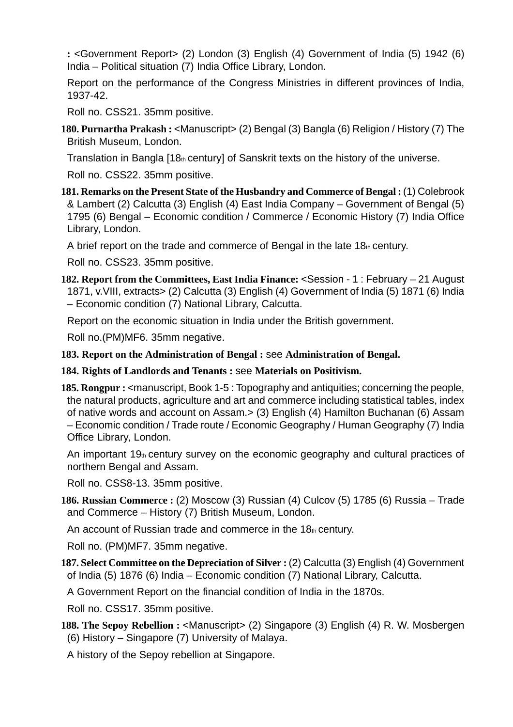**:** <Government Report> (2) London (3) English (4) Government of India (5) 1942 (6) India – Political situation (7) India Office Library, London.

Report on the performance of the Congress Ministries in different provinces of India, 1937-42.

Roll no. CSS21. 35mm positive.

**180. Purnartha Prakash :** <Manuscript> (2) Bengal (3) Bangla (6) Religion / History (7) The British Museum, London.

Translation in Bangla [18th century] of Sanskrit texts on the history of the universe.

Roll no. CSS22. 35mm positive.

**181. Remarks on the Present State of the Husbandry and Commerce of Bengal :** (1) Colebrook & Lambert (2) Calcutta (3) English (4) East India Company – Government of Bengal (5) 1795 (6) Bengal – Economic condition / Commerce / Economic History (7) India Office Library, London.

A brief report on the trade and commerce of Bengal in the late  $18<sub>th</sub>$  century.

Roll no. CSS23. 35mm positive.

**182. Report from the Committees, East India Finance:** <Session - 1 : February – 21 August 1871, v.VIII, extracts> (2) Calcutta (3) English (4) Government of India (5) 1871 (6) India – Economic condition (7) National Library, Calcutta.

Report on the economic situation in India under the British government.

Roll no.(PM)MF6. 35mm negative.

- **183. Report on the Administration of Bengal :** see **Administration of Bengal.**
- **184. Rights of Landlords and Tenants :** see **Materials on Positivism.**
- **185. Rongpur :** <manuscript, Book 1-5 : Topography and antiquities; concerning the people, the natural products, agriculture and art and commerce including statistical tables, index of native words and account on Assam.> (3) English (4) Hamilton Buchanan (6) Assam – Economic condition / Trade route / Economic Geography / Human Geography (7) India Office Library, London.

An important 19th century survey on the economic geography and cultural practices of northern Bengal and Assam.

Roll no. CSS8-13. 35mm positive.

**186. Russian Commerce :** (2) Moscow (3) Russian (4) Culcov (5) 1785 (6) Russia – Trade and Commerce – History (7) British Museum, London.

An account of Russian trade and commerce in the  $18<sub>th</sub>$  century.

Roll no. (PM)MF7. 35mm negative.

**187. Select Committee on the Depreciation of Silver :** (2) Calcutta (3) English (4) Government of India (5) 1876 (6) India – Economic condition (7) National Library, Calcutta.

A Government Report on the financial condition of India in the 1870s.

Roll no. CSS17. 35mm positive.

188. The Sepoy Rebellion : <Manuscript> (2) Singapore (3) English (4) R. W. Mosbergen (6) History – Singapore (7) University of Malaya.

A history of the Sepoy rebellion at Singapore.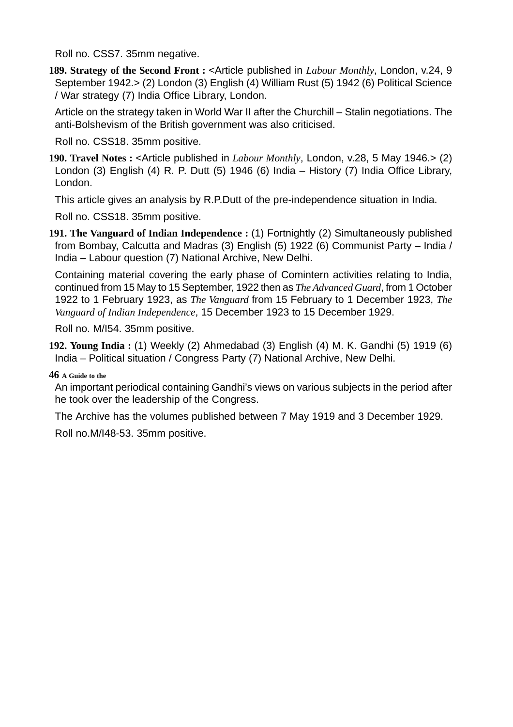Roll no. CSS7. 35mm negative.

**189. Strategy of the Second Front :** <Article published in *Labour Monthly*, London, v.24, 9 September 1942.> (2) London (3) English (4) William Rust (5) 1942 (6) Political Science / War strategy (7) India Office Library, London.

Article on the strategy taken in World War II after the Churchill – Stalin negotiations. The anti-Bolshevism of the British government was also criticised.

Roll no. CSS18. 35mm positive.

**190. Travel Notes :** <Article published in *Labour Monthly*, London, v.28, 5 May 1946.> (2) London (3) English (4) R. P. Dutt (5) 1946 (6) India – History (7) India Office Library, London.

This article gives an analysis by R.P.Dutt of the pre-independence situation in India.

Roll no. CSS18. 35mm positive.

**191. The Vanguard of Indian Independence :** (1) Fortnightly (2) Simultaneously published from Bombay, Calcutta and Madras (3) English (5) 1922 (6) Communist Party – India / India – Labour question (7) National Archive, New Delhi.

Containing material covering the early phase of Comintern activities relating to India, continued from 15 May to 15 September, 1922 then as *The Advanced Guard*, from 1 October 1922 to 1 February 1923, as *The Vanguard* from 15 February to 1 December 1923, *The Vanguard of Indian Independence*, 15 December 1923 to 15 December 1929.

Roll no. M/I54. 35mm positive.

**192. Young India :** (1) Weekly (2) Ahmedabad (3) English (4) M. K. Gandhi (5) 1919 (6) India – Political situation / Congress Party (7) National Archive, New Delhi.

**46 A Guide to the**

An important periodical containing Gandhi's views on various subjects in the period after he took over the leadership of the Congress.

The Archive has the volumes published between 7 May 1919 and 3 December 1929.

Roll no.M/I48-53. 35mm positive.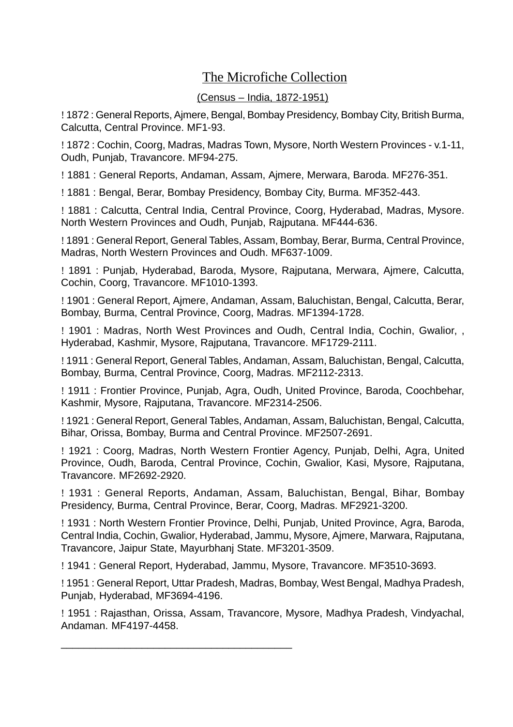### The Microfiche Collection

### (Census – India, 1872-1951)

! 1872 : General Reports, Ajmere, Bengal, Bombay Presidency, Bombay City, British Burma, Calcutta, Central Province. MF1-93.

! 1872 : Cochin, Coorg, Madras, Madras Town, Mysore, North Western Provinces - v.1-11, Oudh, Punjab, Travancore. MF94-275.

! 1881 : General Reports, Andaman, Assam, Ajmere, Merwara, Baroda. MF276-351.

! 1881 : Bengal, Berar, Bombay Presidency, Bombay City, Burma. MF352-443.

! 1881 : Calcutta, Central India, Central Province, Coorg, Hyderabad, Madras, Mysore. North Western Provinces and Oudh, Punjab, Rajputana. MF444-636.

! 1891 : General Report, General Tables, Assam, Bombay, Berar, Burma, Central Province, Madras, North Western Provinces and Oudh. MF637-1009.

! 1891 : Punjab, Hyderabad, Baroda, Mysore, Rajputana, Merwara, Ajmere, Calcutta, Cochin, Coorg, Travancore. MF1010-1393.

! 1901 : General Report, Ajmere, Andaman, Assam, Baluchistan, Bengal, Calcutta, Berar, Bombay, Burma, Central Province, Coorg, Madras. MF1394-1728.

! 1901 : Madras, North West Provinces and Oudh, Central India, Cochin, Gwalior, , Hyderabad, Kashmir, Mysore, Rajputana, Travancore. MF1729-2111.

! 1911 : General Report, General Tables, Andaman, Assam, Baluchistan, Bengal, Calcutta, Bombay, Burma, Central Province, Coorg, Madras. MF2112-2313.

! 1911 : Frontier Province, Punjab, Agra, Oudh, United Province, Baroda, Coochbehar, Kashmir, Mysore, Rajputana, Travancore. MF2314-2506.

! 1921 : General Report, General Tables, Andaman, Assam, Baluchistan, Bengal, Calcutta, Bihar, Orissa, Bombay, Burma and Central Province. MF2507-2691.

! 1921 : Coorg, Madras, North Western Frontier Agency, Punjab, Delhi, Agra, United Province, Oudh, Baroda, Central Province, Cochin, Gwalior, Kasi, Mysore, Rajputana, Travancore. MF2692-2920.

! 1931 : General Reports, Andaman, Assam, Baluchistan, Bengal, Bihar, Bombay Presidency, Burma, Central Province, Berar, Coorg, Madras. MF2921-3200.

! 1931 : North Western Frontier Province, Delhi, Punjab, United Province, Agra, Baroda, Central India, Cochin, Gwalior, Hyderabad, Jammu, Mysore, Ajmere, Marwara, Rajputana, Travancore, Jaipur State, Mayurbhanj State. MF3201-3509.

! 1941 : General Report, Hyderabad, Jammu, Mysore, Travancore. MF3510-3693.

\_\_\_\_\_\_\_\_\_\_\_\_\_\_\_\_\_\_\_\_\_\_\_\_\_\_\_\_\_\_\_\_\_\_\_\_\_\_\_\_

! 1951 : General Report, Uttar Pradesh, Madras, Bombay, West Bengal, Madhya Pradesh, Punjab, Hyderabad, MF3694-4196.

! 1951 : Rajasthan, Orissa, Assam, Travancore, Mysore, Madhya Pradesh, Vindyachal, Andaman. MF4197-4458.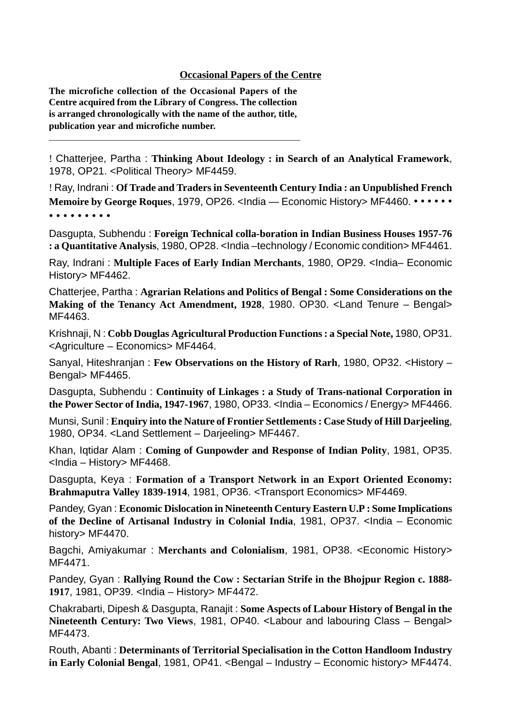#### **Occasional Papers of the Centre**

**The microfiche collection of the Occasional Papers of the Centre acquired from the Library of Congress. The collection is arranged chronologically with the name of the author, title, publication year and microfiche number.**

 $\mathcal{L}_\text{max}$  and the contract of the contract of the contract of the contract of the contract of the contract of the contract of the contract of the contract of the contract of the contract of the contract of the contrac

! Chatterjee, Partha : **Thinking About Ideology : in Search of an Analytical Framework**, 1978, OP21. <Political Theory> MF4459.

! Ray, Indrani : **Of Trade and Traders in Seventeenth Century India : an Unpublished French Memoire by George Roques, 1979, OP26. <India — Economic History> MF4460. • • • • • •** • • • • • • • • •

Dasgupta, Subhendu : **Foreign Technical colla-boration in Indian Business Houses 1957-76 : a Quantitative Analysis**, 1980, OP28. <India –technology / Economic condition> MF4461.

Ray, Indrani : **Multiple Faces of Early Indian Merchants**, 1980, OP29. <India– Economic History> MF4462.

Chatterjee, Partha : **Agrarian Relations and Politics of Bengal : Some Considerations on the Making of the Tenancy Act Amendment, 1928**, 1980. OP30. <Land Tenure – Bengal> MF4463.

Krishnaji, N : **Cobb Douglas Agricultural Production Functions : a Special Note,** 1980, OP31. <Agriculture – Economics> MF4464.

Sanyal, Hiteshranjan : **Few Observations on the History of Rarh**, 1980, OP32. <History – Bengal> MF4465.

Dasgupta, Subhendu : **Continuity of Linkages : a Study of Trans-national Corporation in the Power Sector of India, 1947-1967**, 1980, OP33. <India – Economics / Energy> MF4466.

Munsi, Sunil : **Enquiry into the Nature of Frontier Settlements : Case Study of Hill Darjeeling**, 1980, OP34. <Land Settlement – Darjeeling> MF4467.

Khan, Iqtidar Alam : **Coming of Gunpowder and Response of Indian Polity**, 1981, OP35. <India – History> MF4468.

Dasgupta, Keya : **Formation of a Transport Network in an Export Oriented Economy: Brahmaputra Valley 1839-1914**, 1981, OP36. <Transport Economics> MF4469.

Pandey, Gyan : **Economic Dislocation in Nineteenth Century Eastern U.P : Some Implications of the Decline of Artisanal Industry in Colonial India**, 1981, OP37. <India – Economic history> MF4470.

Bagchi, Amiyakumar : **Merchants and Colonialism**, 1981, OP38. <Economic History> MF4471.

Pandey, Gyan : **Rallying Round the Cow : Sectarian Strife in the Bhojpur Region c. 1888- 1917**, 1981, OP39. <India – History> MF4472.

Chakrabarti, Dipesh & Dasgupta, Ranajit : **Some Aspects of Labour History of Bengal in the Nineteenth Century: Two Views**, 1981, OP40. <Labour and labouring Class – Bengal> MF4473.

Routh, Abanti : **Determinants of Territorial Specialisation in the Cotton Handloom Industry** in Early Colonial Bengal, 1981, OP41. <Bengal – Industry – Economic history> MF4474.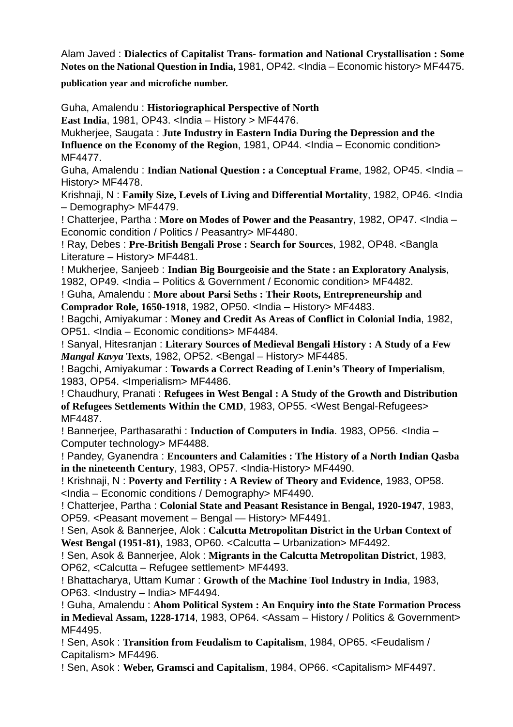Alam Javed : **Dialectics of Capitalist Trans- formation and National Crystallisation : Some Notes on the National Question in India,** 1981, OP42. <India – Economic history> MF4475.

**publication year and microfiche number.**

Guha, Amalendu : **Historiographical Perspective of North**

**East India**, 1981, OP43. <India – History > MF4476.

Mukherjee, Saugata : **Jute Industry in Eastern India During the Depression and the**

**Influence on the Economy of the Region, 1981, OP44. <India – Economic condition>** MF4477.

Guha, Amalendu : **Indian National Question : a Conceptual Frame**, 1982, OP45. <India – History> MF4478.

Krishnaji, N : **Family Size, Levels of Living and Differential Mortality**, 1982, OP46. <India – Demography> MF4479.

! Chatterjee, Partha : **More on Modes of Power and the Peasantry**, 1982, OP47. <India – Economic condition / Politics / Peasantry> MF4480.

! Ray, Debes : **Pre-British Bengali Prose : Search for Sources**, 1982, OP48. <Bangla Literature – History> MF4481.

! Mukherjee, Sanjeeb : **Indian Big Bourgeoisie and the State : an Exploratory Analysis**, 1982, OP49. <India – Politics & Government / Economic condition> MF4482.

! Guha, Amalendu : **More about Parsi Seths : Their Roots, Entrepreneurship and Comprador Role, 1650-1918**, 1982, OP50. <India – History> MF4483.

! Bagchi, Amiyakumar : **Money and Credit As Areas of Conflict in Colonial India**, 1982, OP51. <India – Economic conditions> MF4484.

! Sanyal, Hitesranjan : **Literary Sources of Medieval Bengali History : A Study of a Few** *Mangal Kavya* **Texts**, 1982, OP52. <Bengal – History> MF4485.

! Bagchi, Amiyakumar : **Towards a Correct Reading of Lenin's Theory of Imperialism**, 1983, OP54. <Imperialism> MF4486.

! Chaudhury, Pranati : **Refugees in West Bengal : A Study of the Growth and Distribution of Refugees Settlements Within the CMD**, 1983, OP55. <West Bengal-Refugees> MF4487.

! Bannerjee, Parthasarathi : **Induction of Computers in India**. 1983, OP56. <India – Computer technology> MF4488.

! Pandey, Gyanendra : **Encounters and Calamities : The History of a North Indian Qasba in the nineteenth Century**, 1983, OP57. <India-History> MF4490.

! Krishnaji, N : **Poverty and Fertility : A Review of Theory and Evidence**, 1983, OP58. <India – Economic conditions / Demography> MF4490.

! Chatterjee, Partha : **Colonial State and Peasant Resistance in Bengal, 1920-1947**, 1983, OP59. <Peasant movement – Bengal — History> MF4491.

! Sen, Asok & Bannerjee, Alok : **Calcutta Metropolitan District in the Urban Context of West Bengal (1951-81)**, 1983, OP60. <Calcutta – Urbanization> MF4492.

! Sen, Asok & Bannerjee, Alok : **Migrants in the Calcutta Metropolitan District**, 1983, OP62, <Calcutta – Refugee settlement> MF4493.

! Bhattacharya, Uttam Kumar : **Growth of the Machine Tool Industry in India**, 1983, OP63. <Industry – India> MF4494.

! Guha, Amalendu : **Ahom Political System : An Enquiry into the State Formation Process in Medieval Assam, 1228-1714**, 1983, OP64. <Assam – History / Politics & Government> MF4495.

! Sen, Asok : **Transition from Feudalism to Capitalism**, 1984, OP65. <Feudalism / Capitalism> MF4496.

! Sen, Asok : **Weber, Gramsci and Capitalism**, 1984, OP66. <Capitalism> MF4497.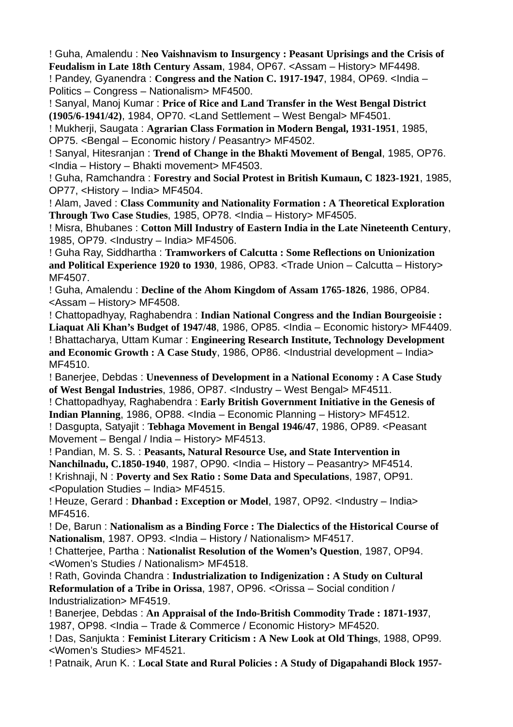! Guha, Amalendu : **Neo Vaishnavism to Insurgency : Peasant Uprisings and the Crisis of Feudalism in Late 18th Century Assam**, 1984, OP67. <Assam – History> MF4498. ! Pandey, Gyanendra : **Congress and the Nation C. 1917-1947**, 1984, OP69. <India –

Politics – Congress – Nationalism> MF4500.

! Sanyal, Manoj Kumar : **Price of Rice and Land Transfer in the West Bengal District (1905/6-1941/42)**, 1984, OP70. <Land Settlement – West Bengal> MF4501.

! Mukherji, Saugata : **Agrarian Class Formation in Modern Bengal, 1931-1951**, 1985, OP75. <Bengal – Economic history / Peasantry> MF4502.

! Sanyal, Hitesranjan : **Trend of Change in the Bhakti Movement of Bengal**, 1985, OP76. <India – History – Bhakti movement> MF4503.

! Guha, Ramchandra : **Forestry and Social Protest in British Kumaun, C 1823-1921**, 1985, OP77, <History – India> MF4504.

! Alam, Javed : **Class Community and Nationality Formation : A Theoretical Exploration Through Two Case Studies**, 1985, OP78. <India – History> MF4505.

! Misra, Bhubanes : **Cotton Mill Industry of Eastern India in the Late Nineteenth Century**, 1985, OP79. <Industry – India> MF4506.

! Guha Ray, Siddhartha : **Tramworkers of Calcutta : Some Reflections on Unionization and Political Experience 1920 to 1930**, 1986, OP83. <Trade Union – Calcutta – History> MF4507.

! Guha, Amalendu : **Decline of the Ahom Kingdom of Assam 1765-1826**, 1986, OP84. <Assam – History> MF4508.

! Chattopadhyay, Raghabendra : **Indian National Congress and the Indian Bourgeoisie : Liaquat Ali Khan's Budget of 1947/48**, 1986, OP85. <India – Economic history> MF4409. ! Bhattacharya, Uttam Kumar : **Engineering Research Institute, Technology Development and Economic Growth : A Case Study**, 1986, OP86. <Industrial development – India> MF4510.

! Banerjee, Debdas : **Unevenness of Development in a National Economy : A Case Study of West Bengal Industries**, 1986, OP87. <Industry – West Bengal> MF4511.

! Chattopadhyay, Raghabendra : **Early British Government Initiative in the Genesis of Indian Planning**, 1986, OP88. <India – Economic Planning – History> MF4512. ! Dasgupta, Satyajit : **Tebhaga Movement in Bengal 1946/47**, 1986, OP89. <Peasant Movement – Bengal / India – History> MF4513.

! Pandian, M. S. S. : **Peasants, Natural Resource Use, and State Intervention in Nanchilnadu, C.1850-1940**, 1987, OP90. <India – History – Peasantry> MF4514. ! Krishnaji, N : **Poverty and Sex Ratio : Some Data and Speculations**, 1987, OP91. <Population Studies – India> MF4515.

! Heuze, Gerard : **Dhanbad : Exception or Model**, 1987, OP92. <Industry – India> MF4516.

! De, Barun : **Nationalism as a Binding Force : The Dialectics of the Historical Course of** Nationalism, 1987. OP93. <lndia – History / Nationalism> MF4517.

! Chatterjee, Partha : **Nationalist Resolution of the Women's Question**, 1987, OP94. <Women's Studies / Nationalism> MF4518.

! Rath, Govinda Chandra : **Industrialization to Indigenization : A Study on Cultural Reformulation of a Tribe in Orissa, 1987, OP96. < Orissa – Social condition /** Industrialization> MF4519.

! Banerjee, Debdas : **An Appraisal of the Indo-British Commodity Trade : 1871-1937**, 1987, OP98. <India – Trade & Commerce / Economic History> MF4520.

! Das, Sanjukta : **Feminist Literary Criticism : A New Look at Old Things**, 1988, OP99. <Women's Studies> MF4521.

! Patnaik, Arun K. : **Local State and Rural Policies : A Study of Digapahandi Block 1957-**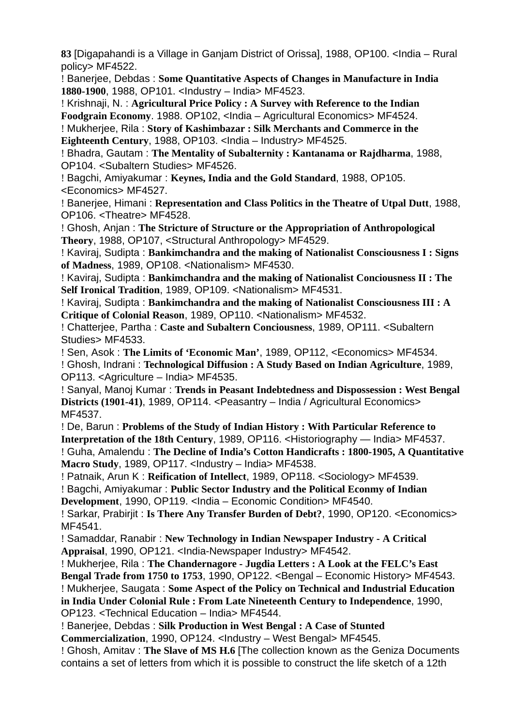**83** [Digapahandi is a Village in Ganjam District of Orissa], 1988, OP100. <India – Rural policy> MF4522.

! Banerjee, Debdas : **Some Quantitative Aspects of Changes in Manufacture in India 1880-1900**, 1988, OP101. <Industry – India> MF4523.

! Krishnaji, N. : **Agricultural Price Policy : A Survey with Reference to the Indian Foodgrain Economy**. 1988. OP102, <India – Agricultural Economics> MF4524.

! Mukherjee, Rila : **Story of Kashimbazar : Silk Merchants and Commerce in the Eighteenth Century**, 1988, OP103. <India – Industry> MF4525.

! Bhadra, Gautam : **The Mentality of Subalternity : Kantanama or Rajdharma**, 1988, OP104. <Subaltern Studies> MF4526.

! Bagchi, Amiyakumar : **Keynes, India and the Gold Standard**, 1988, OP105. <Economics> MF4527.

! Banerjee, Himani : **Representation and Class Politics in the Theatre of Utpal Dutt**, 1988, OP106. <Theatre> MF4528.

! Ghosh, Anjan : **The Stricture of Structure or the Appropriation of Anthropological Theory**, 1988, OP107, <Structural Anthropology> MF4529.

! Kaviraj, Sudipta : **Bankimchandra and the making of Nationalist Consciousness I : Signs of Madness**, 1989, OP108. <Nationalism> MF4530.

! Kaviraj, Sudipta : **Bankimchandra and the making of Nationalist Conciousness II : The Self Ironical Tradition**, 1989, OP109. <Nationalism> MF4531.

! Kaviraj, Sudipta : **Bankimchandra and the making of Nationalist Consciousness III : A Critique of Colonial Reason**, 1989, OP110. <Nationalism> MF4532.

! Chatterjee, Partha : **Caste and Subaltern Conciousness**, 1989, OP111. <Subaltern Studies> MF4533.

! Sen, Asok : **The Limits of 'Economic Man'**, 1989, OP112, <Economics> MF4534. ! Ghosh, Indrani : **Technological Diffusion : A Study Based on Indian Agriculture**, 1989, OP113. <Agriculture – India> MF4535.

! Sanyal, Manoj Kumar : **Trends in Peasant Indebtedness and Dispossession : West Bengal Districts (1901-41)**, 1989, OP114. <Peasantry – India / Agricultural Economics> MF4537.

! De, Barun : **Problems of the Study of Indian History : With Particular Reference to Interpretation of the 18th Century**, 1989, OP116. <Historiography — India> MF4537. ! Guha, Amalendu : **The Decline of India's Cotton Handicrafts : 1800-1905, A Quantitative Macro Study**, 1989, OP117. <Industry – India> MF4538.

! Patnaik, Arun K : **Reification of Intellect**, 1989, OP118. <Sociology> MF4539.

! Bagchi, Amiyakumar : **Public Sector Industry and the Political Econmy of Indian Development**, 1990, OP119. <India – Economic Condition> MF4540.

! Sarkar, Prabirjit : **Is There Any Transfer Burden of Debt?**, 1990, OP120. <Economics> MF4541.

! Samaddar, Ranabir : **New Technology in Indian Newspaper Industry - A Critical Appraisal**, 1990, OP121. <India-Newspaper Industry> MF4542.

! Mukherjee, Rila : **The Chandernagore - Jugdia Letters : A Look at the FELC's East Bengal Trade from 1750 to 1753**, 1990, OP122. <Bengal – Economic History> MF4543. ! Mukherjee, Saugata : **Some Aspect of the Policy on Technical and Industrial Education in India Under Colonial Rule : From Late Nineteenth Century to Independence**, 1990, OP123. <Technical Education – India> MF4544.

! Banerjee, Debdas : **Silk Production in West Bengal : A Case of Stunted Commercialization**, 1990, OP124. <Industry – West Bengal> MF4545.

! Ghosh, Amitav : **The Slave of MS H.6** [The collection known as the Geniza Documents contains a set of letters from which it is possible to construct the life sketch of a 12th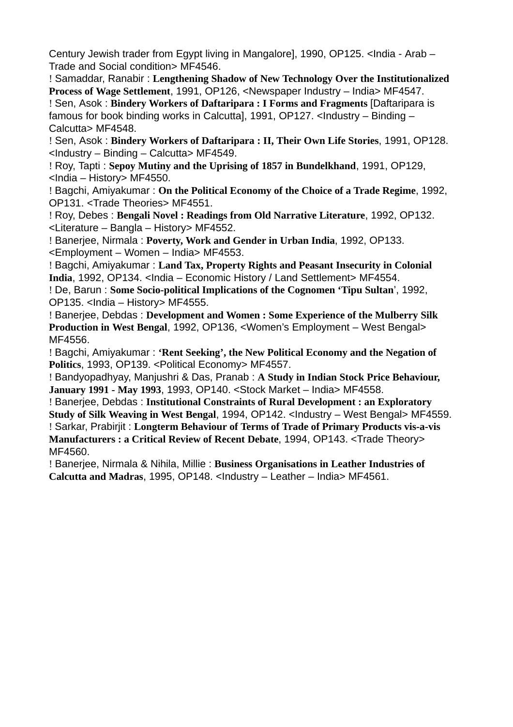Century Jewish trader from Egypt living in Mangalore], 1990, OP125. <India - Arab – Trade and Social condition> MF4546.

! Samaddar, Ranabir : **Lengthening Shadow of New Technology Over the Institutionalized Process of Wage Settlement**, 1991, OP126, <Newspaper Industry – India> MF4547. ! Sen, Asok : **Bindery Workers of Daftaripara : I Forms and Fragments** [Daftaripara is famous for book binding works in Calcutta], 1991, OP127. <Industry – Binding – Calcutta> MF4548.

! Sen, Asok : **Bindery Workers of Daftaripara : II, Their Own Life Stories**, 1991, OP128. <Industry – Binding – Calcutta> MF4549.

! Roy, Tapti : **Sepoy Mutiny and the Uprising of 1857 in Bundelkhand**, 1991, OP129, <India – History> MF4550.

! Bagchi, Amiyakumar : **On the Political Economy of the Choice of a Trade Regime**, 1992, OP131. <Trade Theories> MF4551.

! Roy, Debes : **Bengali Novel : Readings from Old Narrative Literature**, 1992, OP132. <Literature – Bangla – History> MF4552.

! Banerjee, Nirmala : **Poverty, Work and Gender in Urban India**, 1992, OP133. <Employment – Women – India> MF4553.

! Bagchi, Amiyakumar : **Land Tax, Property Rights and Peasant Insecurity in Colonial** India, 1992, OP134. <India – Economic History / Land Settlement> MF4554.

! De, Barun : **Some Socio-political Implications of the Cognomen 'Tipu Sultan**', 1992, OP135. <India – History> MF4555.

! Banerjee, Debdas : **Development and Women : Some Experience of the Mulberry Silk Production in West Bengal**, 1992, OP136, <Women's Employment – West Bengal> MF4556.

! Bagchi, Amiyakumar : **'Rent Seeking', the New Political Economy and the Negation of Politics**, 1993, OP139. <Political Economy> MF4557.

! Bandyopadhyay, Manjushri & Das, Pranab : **A Study in Indian Stock Price Behaviour, January 1991 - May 1993**, 1993, OP140. <Stock Market – India> MF4558.

! Banerjee, Debdas : **Institutional Constraints of Rural Development : an Exploratory Study of Silk Weaving in West Bengal**, 1994, OP142. <Industry – West Bengal> MF4559. ! Sarkar, Prabirjit : **Longterm Behaviour of Terms of Trade of Primary Products vis-a-vis Manufacturers : a Critical Review of Recent Debate**, 1994, OP143. <Trade Theory> MF4560.

! Banerjee, Nirmala & Nihila, Millie : **Business Organisations in Leather Industries of Calcutta and Madras**, 1995, OP148. <Industry – Leather – India> MF4561.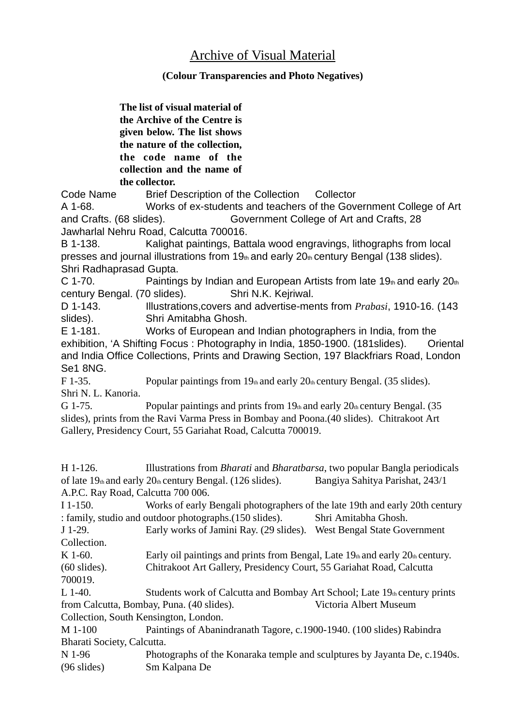# Archive of Visual Material

### **(Colour Transparencies and Photo Negatives)**

**The list of visual material of the Archive of the Centre is given below. The list shows the nature of the collection, the code name of the collection and the name of the collector.**

Code Name Brief Description of the Collection Collector

A 1-68. Works of ex-students and teachers of the Government College of Art and Crafts. (68 slides). Government College of Art and Crafts, 28 Jawharlal Nehru Road, Calcutta 700016.

B 1-138. Kalighat paintings, Battala wood engravings, lithographs from local presses and journal illustrations from  $19<sub>th</sub>$  and early  $20<sub>th</sub>$  century Bengal (138 slides). Shri Radhaprasad Gupta.

C 1-70. Paintings by Indian and European Artists from late 19th and early  $20<sub>th</sub>$ century Bengal. (70 slides). Shri N.K. Kejriwal.

D 1-143. Illustrations,covers and advertise-ments from *Prabasi*, 1910-16. (143 slides). Shri Amitabha Ghosh.

E 1-181. Works of European and Indian photographers in India, from the exhibition, 'A Shifting Focus : Photography in India, 1850-1900. (181slides). Oriental and India Office Collections, Prints and Drawing Section, 197 Blackfriars Road, London Se1 8NG.

F 1-35. Popular paintings from  $19<sub>th</sub>$  and early  $20<sub>th</sub>$  century Bengal. (35 slides). Shri N. L. Kanoria.

G 1-75. Popular paintings and prints from  $19<sub>th</sub>$  and early  $20<sub>th</sub>$  century Bengal. (35 slides), prints from the Ravi Varma Press in Bombay and Poona.(40 slides). Chitrakoot Art Gallery, Presidency Court, 55 Gariahat Road, Calcutta 700019.

H 1-126. Illustrations from *Bharati* and *Bharatbarsa*, two popular Bangla periodicals of late 19th and early 20th century Bengal. (126 slides). Bangiya Sahitya Parishat, 243/1 A.P.C. Ray Road, Calcutta 700 006.

I 1-150. Works of early Bengali photographers of the late 19th and early 20th century : family, studio and outdoor photographs.(150 slides). Shri Amitabha Ghosh.

J 1-29. Early works of Jamini Ray. (29 slides). West Bengal State Government Collection.

K 1-60. Early oil paintings and prints from Bengal, Late  $19<sub>th</sub>$  and early  $20<sub>th</sub>$  century. (60 slides). Chitrakoot Art Gallery, Presidency Court, 55 Gariahat Road, Calcutta 700019.

L 1-40. Students work of Calcutta and Bombay Art School; Late  $19<sub>th</sub>$  century prints from Calcutta, Bombay, Puna. (40 slides). Victoria Albert Museum

Collection, South Kensington, London.

M 1-100 Paintings of Abanindranath Tagore, c.1900-1940. (100 slides) Rabindra Bharati Society, Calcutta.

N 1-96 Photographs of the Konaraka temple and sculptures by Jayanta De, c.1940s. (96 slides) Sm Kalpana De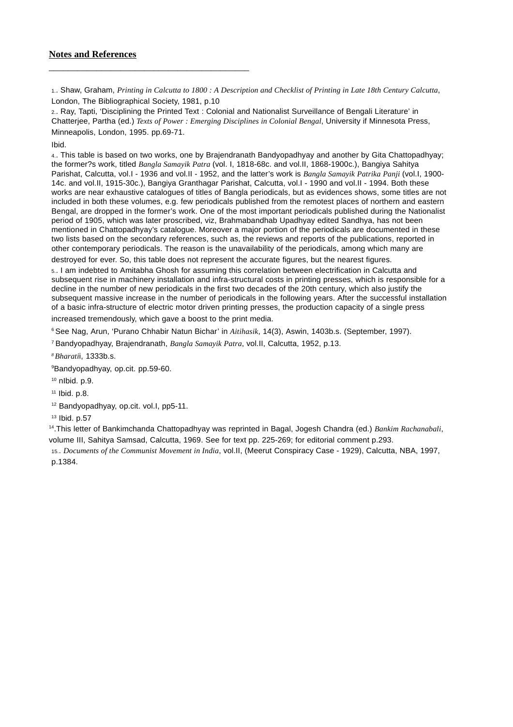#### **Notes and References**

\_\_\_\_\_\_\_\_\_\_\_\_\_\_\_\_\_\_\_\_\_\_\_\_\_\_\_\_\_\_\_\_\_\_\_\_\_\_\_\_\_\_

1.. Shaw, Graham, *Printing in Calcutta to 1800 : A Description and Checklist of Printing in Late 18th Century Calcutta*, London, The Bibliographical Society, 1981, p.10

2.. Ray, Tapti, 'Disciplining the Printed Text : Colonial and Nationalist Surveillance of Bengali Literature' in Chatterjee, Partha (ed.) *Texts of Power : Emerging Disciplines in Colonial Bengal*, University if Minnesota Press, Minneapolis, London, 1995. pp.69-71.

Ibid.

4.. This table is based on two works, one by Brajendranath Bandyopadhyay and another by Gita Chattopadhyay; the former?s work, titled *Bangla Samayik Patra* (vol. I, 1818-68c. and vol.II, 1868-1900c.), Bangiya Sahitya Parishat, Calcutta, vol.I - 1936 and vol.II - 1952, and the latter's work is *Bangla Samayik Patrika Panji* (vol.I, 1900- 14c. and vol.II, 1915-30c.), Bangiya Granthagar Parishat, Calcutta, vol.I - 1990 and vol.II - 1994. Both these works are near exhaustive catalogues of titles of Bangla periodicals, but as evidences shows, some titles are not included in both these volumes, e.g. few periodicals published from the remotest places of northern and eastern Bengal, are dropped in the former's work. One of the most important periodicals published during the Nationalist period of 1905, which was later proscribed, viz, Brahmabandhab Upadhyay edited Sandhya, has not been mentioned in Chattopadhyay's catalogue. Moreover a major portion of the periodicals are documented in these two lists based on the secondary references, such as, the reviews and reports of the publications, reported in other contemporary periodicals. The reason is the unavailability of the periodicals, among which many are

destroyed for ever. So, this table does not represent the accurate figures, but the nearest figures.

5.. I am indebted to Amitabha Ghosh for assuming this correlation between electrification in Calcutta and subsequent rise in machinery installation and infra-structural costs in printing presses, which is responsible for a decline in the number of new periodicals in the first two decades of the 20th century, which also justify the subsequent massive increase in the number of periodicals in the following years. After the successful installation of a basic infra-structure of electric motor driven printing presses, the production capacity of a single press increased tremendously, which gave a boost to the print media.

6 See Nag, Arun, 'Purano Chhabir Natun Bichar' in *Aitihasik*, 14(3), Aswin, 1403b.s. (September, 1997).

7 Bandyopadhyay, Brajendranath, *Bangla Samayik Patra*, vol.II, Calcutta, 1952, p.13.

*8 Bharati*i, 1333b.s.

9 Bandyopadhyay, op.cit. pp.59-60.

 $10$  nlbid. p.9.

11 Ibid. p.8.

12 Bandyopadhyay, op.cit. vol.I, pp5-11.

13 Ibid. p.57

14.This letter of Bankimchanda Chattopadhyay was reprinted in Bagal, Jogesh Chandra (ed.) *Bankim Rachanabali*, volume III, Sahitya Samsad, Calcutta, 1969. See for text pp. 225-269; for editorial comment p.293.

15.. *Documents of the Communist Movement in India*, vol.II, (Meerut Conspiracy Case - 1929), Calcutta, NBA, 1997, p.1384.